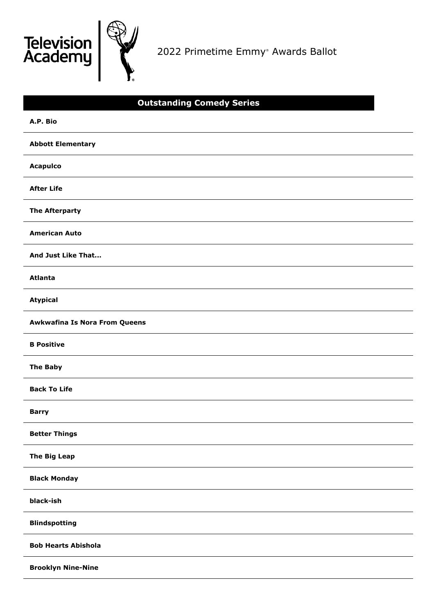



2022 Primetime Emmy ® Awards Ballot

| <b>Outstanding Comedy Series</b>     |
|--------------------------------------|
| A.P. Bio                             |
| <b>Abbott Elementary</b>             |
| <b>Acapulco</b>                      |
| <b>After Life</b>                    |
| <b>The Afterparty</b>                |
| <b>American Auto</b>                 |
| And Just Like That                   |
| <b>Atlanta</b>                       |
| <b>Atypical</b>                      |
| <b>Awkwafina Is Nora From Queens</b> |
| <b>B</b> Positive                    |
| <b>The Baby</b>                      |
| <b>Back To Life</b>                  |
| <b>Barry</b>                         |
| <b>Better Things</b>                 |
| <b>The Big Leap</b>                  |
| <b>Black Monday</b>                  |
| black-ish                            |
| <b>Blindspotting</b>                 |
| <b>Bob Hearts Abishola</b>           |
| <b>Brooklyn Nine-Nine</b>            |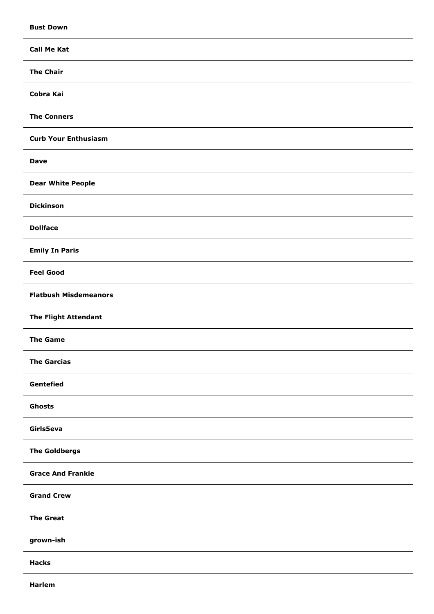| <b>Bust Down</b>             |
|------------------------------|
| <b>Call Me Kat</b>           |
| <b>The Chair</b>             |
| Cobra Kai                    |
| <b>The Conners</b>           |
| <b>Curb Your Enthusiasm</b>  |
| <b>Dave</b>                  |
| <b>Dear White People</b>     |
| <b>Dickinson</b>             |
| <b>Dollface</b>              |
| <b>Emily In Paris</b>        |
| <b>Feel Good</b>             |
| <b>Flatbush Misdemeanors</b> |
| <b>The Flight Attendant</b>  |
| <b>The Game</b>              |
| <b>The Garcias</b>           |
| Gentefied                    |
| Ghosts                       |
| Girls5eva                    |
| <b>The Goldbergs</b>         |
| <b>Grace And Frankie</b>     |
| <b>Grand Crew</b>            |
| <b>The Great</b>             |
| grown-ish                    |
| <b>Hacks</b>                 |
|                              |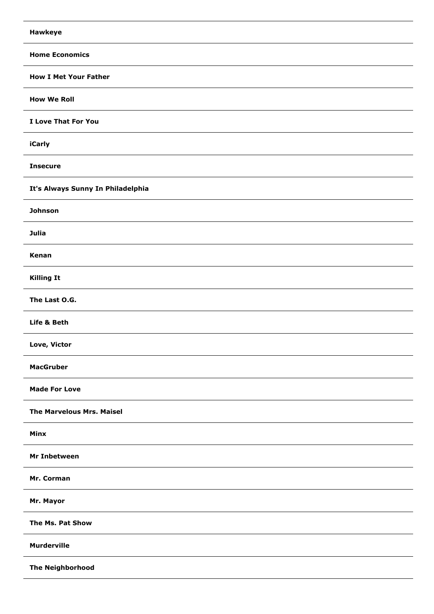| <b>Hawkeye</b>                    |
|-----------------------------------|
| <b>Home Economics</b>             |
| <b>How I Met Your Father</b>      |
| <b>How We Roll</b>                |
| I Love That For You               |
| iCarly                            |
| <b>Insecure</b>                   |
| It's Always Sunny In Philadelphia |
| <b>Johnson</b>                    |
| <b>Julia</b>                      |
| Kenan                             |
| <b>Killing It</b>                 |
| The Last O.G.                     |
| Life & Beth                       |
| Love, Victor                      |
| <b>MacGruber</b>                  |
| <b>Made For Love</b>              |
| <b>The Marvelous Mrs. Maisel</b>  |
| Minx                              |
| Mr Inbetween                      |
| Mr. Corman                        |
| Mr. Mayor                         |
| The Ms. Pat Show                  |
| <b>Murderville</b>                |
| <b>The Neighborhood</b>           |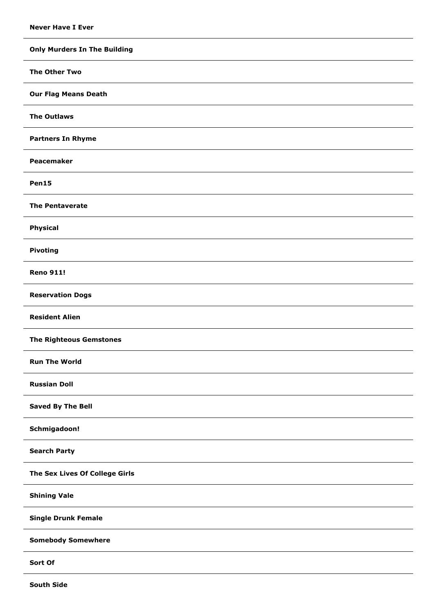**Only Murders In The Building The Other Two Our Flag Means Death The Outlaws Partners In Rhyme Peacemaker Pen15 The Pentaverate Physical Pivoting Reno 911! Reservation Dogs Resident Alien The Righteous Gemstones Run The World Russian Doll Saved By The Bell Schmigadoon! Search Party The Sex Lives Of College Girls Shining Vale Single Drunk Female Somebody Somewhere Sort Of**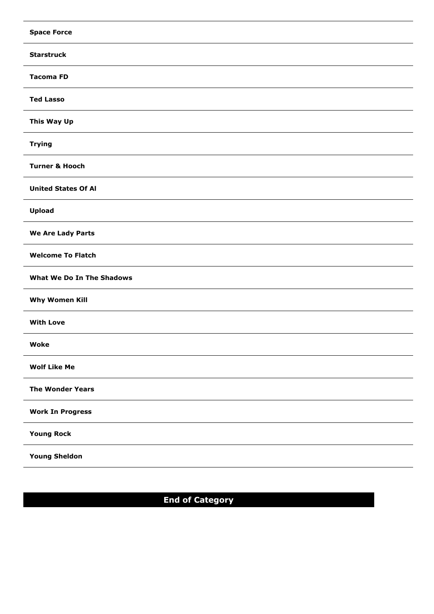| <b>Space Force</b>         |
|----------------------------|
| <b>Starstruck</b>          |
| <b>Tacoma FD</b>           |
| <b>Ted Lasso</b>           |
| This Way Up                |
| <b>Trying</b>              |
| <b>Turner &amp; Hooch</b>  |
| <b>United States Of Al</b> |
| Upload                     |
| We Are Lady Parts          |
| <b>Welcome To Flatch</b>   |
| What We Do In The Shadows  |
| <b>Why Women Kill</b>      |
| <b>With Love</b>           |
| Woke                       |
| <b>Wolf Like Me</b>        |
| <b>The Wonder Years</b>    |
| <b>Work In Progress</b>    |
| <b>Young Rock</b>          |
| <b>Young Sheldon</b>       |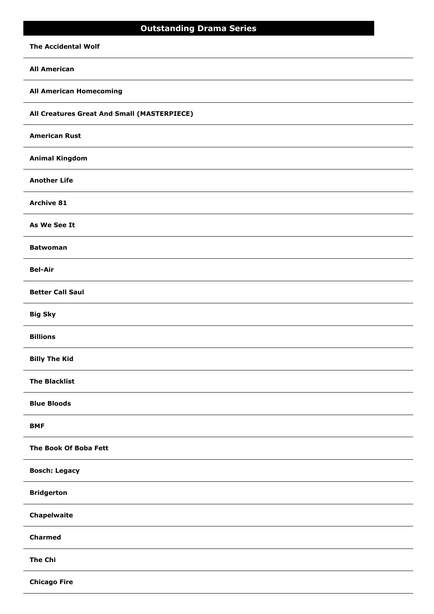# **Outstanding Drama Series**

# **The Accidental Wolf**

# **All American**

# **All American Homecoming**

**All Creatures Great And Small (MASTERPIECE)**

# **American Rust**

# **Animal Kingdom**

**Another Life**

### **Archive 81**

**As We See It**

### **Batwoman**

**Bel-Air**

### **Better Call Saul**

**Big Sky**

# **Billions**

**Billy The Kid**

# **The Blacklist**

**Blue Bloods**

### **BMF**

# **The Book Of Boba Fett**

### **Bosch: Legacy**

### **Bridgerton**

# **Chapelwaite**

# **Charmed**

### **The Chi**

**Chicago Fire**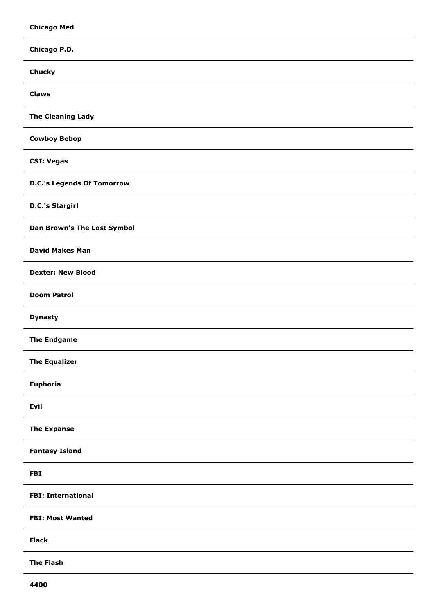| <b>Chicago Med</b>                 |
|------------------------------------|
| Chicago P.D.                       |
| <b>Chucky</b>                      |
| <b>Claws</b>                       |
| <b>The Cleaning Lady</b>           |
| <b>Cowboy Bebop</b>                |
| <b>CSI: Vegas</b>                  |
| <b>D.C.'s Legends Of Tomorrow</b>  |
| <b>D.C.'s Stargirl</b>             |
| <b>Dan Brown's The Lost Symbol</b> |
| <b>David Makes Man</b>             |
| <b>Dexter: New Blood</b>           |
| <b>Doom Patrol</b>                 |
| <b>Dynasty</b>                     |
| <b>The Endgame</b>                 |
| <b>The Equalizer</b>               |
| Euphoria                           |
| Evil                               |
| <b>The Expanse</b>                 |
| <b>Fantasy Island</b>              |
| <b>FBI</b>                         |
| <b>FBI: International</b>          |
| <b>FBI: Most Wanted</b>            |
| <b>Flack</b>                       |
| <b>The Flash</b>                   |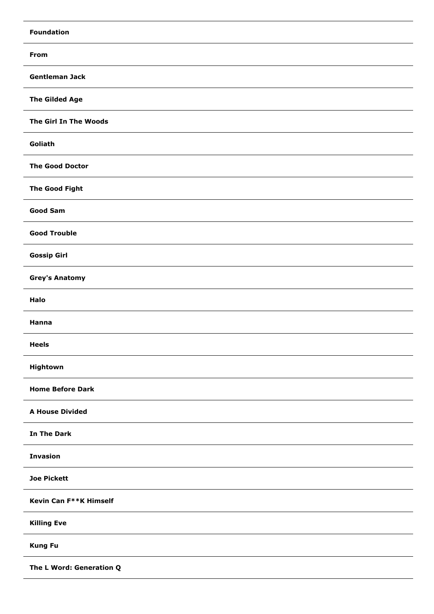| <b>Foundation</b>        |
|--------------------------|
| <b>From</b>              |
| <b>Gentleman Jack</b>    |
| <b>The Gilded Age</b>    |
| The Girl In The Woods    |
| Goliath                  |
| <b>The Good Doctor</b>   |
| <b>The Good Fight</b>    |
| <b>Good Sam</b>          |
| <b>Good Trouble</b>      |
| <b>Gossip Girl</b>       |
| <b>Grey's Anatomy</b>    |
| Halo                     |
| Hanna                    |
| <b>Heels</b>             |
| Hightown                 |
| <b>Home Before Dark</b>  |
| <b>A House Divided</b>   |
| <b>In The Dark</b>       |
| <b>Invasion</b>          |
| <b>Joe Pickett</b>       |
| Kevin Can F**K Himself   |
| <b>Killing Eve</b>       |
| <b>Kung Fu</b>           |
| The L Word: Generation Q |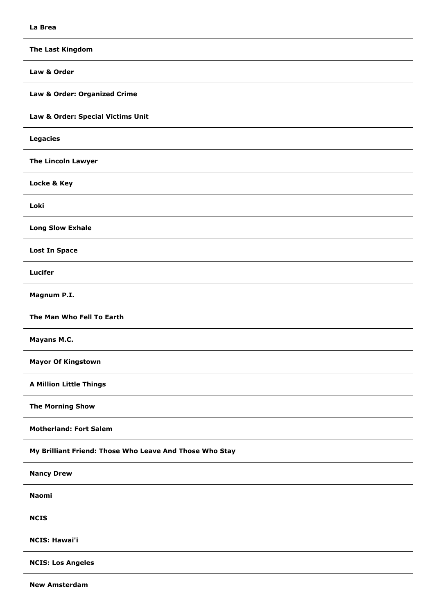**The Last Kingdom Law & Order Law & Order: Organized Crime Law & Order: Special Victims Unit Legacies The Lincoln Lawyer Locke & Key Loki Long Slow Exhale Lost In Space Lucifer Magnum P.I. The Man Who Fell To Earth Mayans M.C. Mayor Of Kingstown A Million Little Things The Morning Show Motherland: Fort Salem My Brilliant Friend: Those Who Leave And Those Who Stay Nancy Drew Naomi NCIS NCIS: Hawai'i NCIS: Los Angeles**

**New Amsterdam**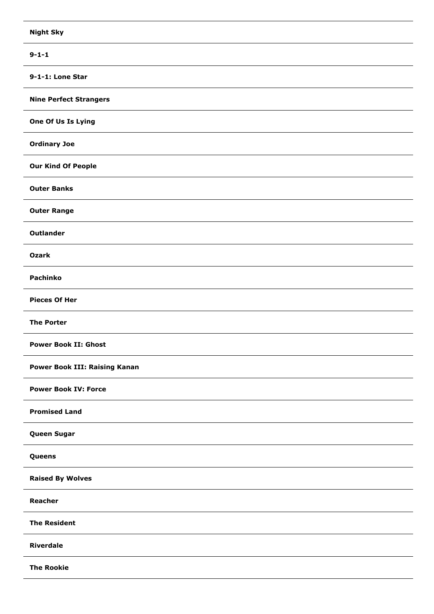| <b>Night Sky</b>                     |
|--------------------------------------|
| $9 - 1 - 1$                          |
| 9-1-1: Lone Star                     |
| <b>Nine Perfect Strangers</b>        |
| One Of Us Is Lying                   |
| <b>Ordinary Joe</b>                  |
| <b>Our Kind Of People</b>            |
| <b>Outer Banks</b>                   |
| <b>Outer Range</b>                   |
| <b>Outlander</b>                     |
| <b>Ozark</b>                         |
| Pachinko                             |
| <b>Pieces Of Her</b>                 |
| <b>The Porter</b>                    |
| <b>Power Book II: Ghost</b>          |
| <b>Power Book III: Raising Kanan</b> |
| <b>Power Book IV: Force</b>          |
| <b>Promised Land</b>                 |
| <b>Queen Sugar</b>                   |
| Queens                               |
| <b>Raised By Wolves</b>              |
| Reacher                              |
| <b>The Resident</b>                  |
| <b>Riverdale</b>                     |
| <b>The Rookie</b>                    |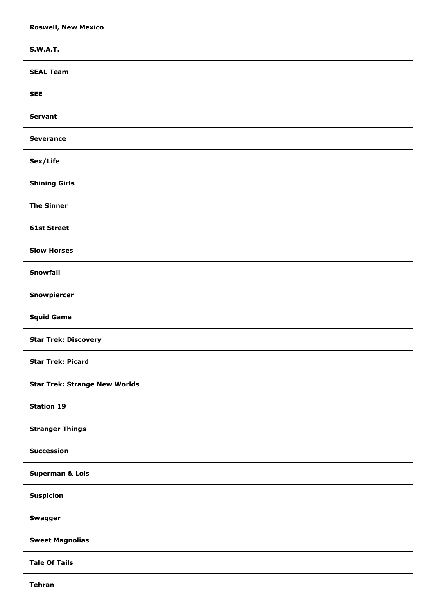| <b>S.W.A.T.</b>                      |
|--------------------------------------|
| <b>SEAL Team</b>                     |
| <b>SEE</b>                           |
| <b>Servant</b>                       |
| <b>Severance</b>                     |
| Sex/Life                             |
| <b>Shining Girls</b>                 |
| <b>The Sinner</b>                    |
| <b>61st Street</b>                   |
| <b>Slow Horses</b>                   |
| Snowfall                             |
| Snowpiercer                          |
| <b>Squid Game</b>                    |
| <b>Star Trek: Discovery</b>          |
| <b>Star Trek: Picard</b>             |
| <b>Star Trek: Strange New Worlds</b> |
| <b>Station 19</b>                    |
| <b>Stranger Things</b>               |
| <b>Succession</b>                    |
| <b>Superman &amp; Lois</b>           |
| <b>Suspicion</b>                     |
| Swagger                              |
| <b>Sweet Magnolias</b>               |
| <b>Tale Of Tails</b>                 |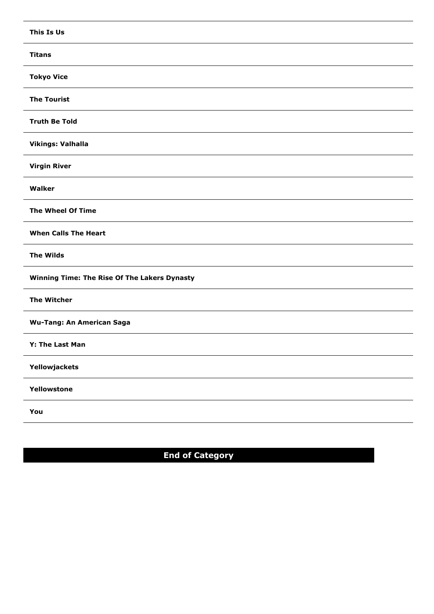| This Is Us                                   |
|----------------------------------------------|
| <b>Titans</b>                                |
| <b>Tokyo Vice</b>                            |
| <b>The Tourist</b>                           |
| <b>Truth Be Told</b>                         |
| <b>Vikings: Valhalla</b>                     |
| <b>Virgin River</b>                          |
| Walker                                       |
| The Wheel Of Time                            |
| <b>When Calls The Heart</b>                  |
| <b>The Wilds</b>                             |
| Winning Time: The Rise Of The Lakers Dynasty |
| <b>The Witcher</b>                           |
| <b>Wu-Tang: An American Saga</b>             |
| Y: The Last Man                              |
| Yellowjackets                                |
| Yellowstone                                  |
| You                                          |
|                                              |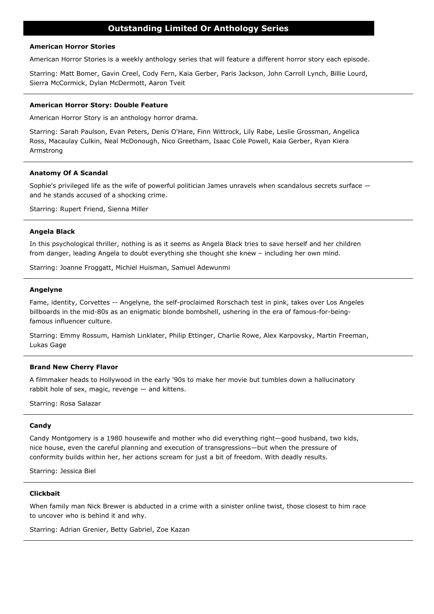### **American Horror Stories**

American Horror Stories is a weekly anthology series that will feature a different horror story each episode.

Starring: Matt Bomer, Gavin Creel, Cody Fern, Kaia Gerber, Paris Jackson, John Carroll Lynch, Billie Lourd, Sierra McCormick, Dylan McDermott, Aaron Tveit

#### **American Horror Story: Double Feature**

American Horror Story is an anthology horror drama.

Starring: Sarah Paulson, Evan Peters, Denis O'Hare, Finn Wittrock, Lily Rabe, Leslie Grossman, Angelica Ross, Macaulay Culkin, Neal McDonough, Nico Greetham, Isaac Cole Powell, Kaia Gerber, Ryan Kiera Armstrong

### **Anatomy Of A Scandal**

Sophie's privileged life as the wife of powerful politician James unravels when scandalous secrets surface and he stands accused of a shocking crime.

Starring: Rupert Friend, Sienna Miller

### **Angela Black**

In this psychological thriller, nothing is as it seems as Angela Black tries to save herself and her children from danger, leading Angela to doubt everything she thought she knew – including her own mind.

Starring: Joanne Froggatt, Michiel Huisman, Samuel Adewunmi

### **Angelyne**

Fame, identity, Corvettes -- Angelyne, the self-proclaimed Rorschach test in pink, takes over Los Angeles billboards in the mid-80s as an enigmatic blonde bombshell, ushering in the era of famous-for-beingfamous influencer culture.

Starring: Emmy Rossum, Hamish Linklater, Philip Ettinger, Charlie Rowe, Alex Karpovsky, Martin Freeman, Lukas Gage

#### **Brand New Cherry Flavor**

A filmmaker heads to Hollywood in the early '90s to make her movie but tumbles down a hallucinatory rabbit hole of sex, magic, revenge — and kittens.

Starring: Rosa Salazar

### **Candy**

Candy Montgomery is a 1980 housewife and mother who did everything right—good husband, two kids, nice house, even the careful planning and execution of transgressions—but when the pressure of conformity builds within her, her actions scream for just a bit of freedom. With deadly results.

Starring: Jessica Biel

# **Clickbait**

When family man Nick Brewer is abducted in a crime with a sinister online twist, those closest to him race to uncover who is behind it and why.

Starring: Adrian Grenier, Betty Gabriel, Zoe Kazan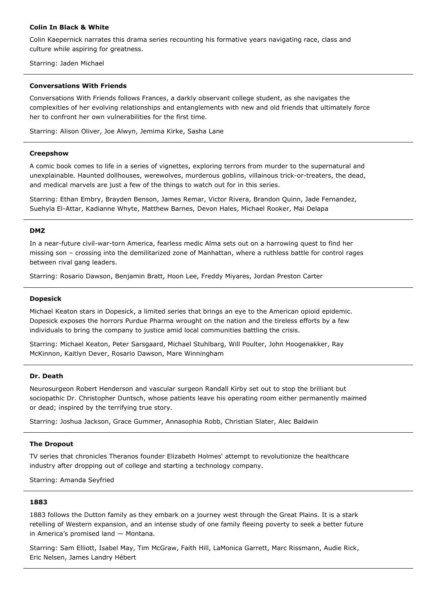# **Colin In Black & White**

Colin Kaepernick narrates this drama series recounting his formative years navigating race, class and culture while aspiring for greatness.

Starring: Jaden Michael

### **Conversations With Friends**

Conversations With Friends follows Frances, a darkly observant college student, as she navigates the complexities of her evolving relationships and entanglements with new and old friends that ultimately force her to confront her own vulnerabilities for the first time.

Starring: Alison Oliver, Joe Alwyn, Jemima Kirke, Sasha Lane

# **Creepshow**

A comic book comes to life in a series of vignettes, exploring terrors from murder to the supernatural and unexplainable. Haunted dollhouses, werewolves, murderous goblins, villainous trick-or-treaters, the dead, and medical marvels are just a few of the things to watch out for in this series.

Starring: Ethan Embry, Brayden Benson, James Remar, Victor Rivera, Brandon Quinn, Jade Fernandez, Suehyla El-Attar, Kadianne Whyte, Matthew Barnes, Devon Hales, Michael Rooker, Mai Delapa

### **DMZ**

In a near-future civil-war-torn America, fearless medic Alma sets out on a harrowing quest to find her missing son – crossing into the demilitarized zone of Manhattan, where a ruthless battle for control rages between rival gang leaders.

Starring: Rosario Dawson, Benjamin Bratt, Hoon Lee, Freddy Miyares, Jordan Preston Carter

# **Dopesick**

Michael Keaton stars in Dopesick, a limited series that brings an eye to the American opioid epidemic. Dopesick exposes the horrors Purdue Pharma wrought on the nation and the tireless efforts by a few individuals to bring the company to justice amid local communities battling the crisis.

Starring: Michael Keaton, Peter Sarsgaard, Michael Stuhlbarg, Will Poulter, John Hoogenakker, Ray McKinnon, Kaitlyn Dever, Rosario Dawson, Mare Winningham

### **Dr. Death**

Neurosurgeon Robert Henderson and vascular surgeon Randall Kirby set out to stop the brilliant but sociopathic Dr. Christopher Duntsch, whose patients leave his operating room either permanently maimed or dead; inspired by the terrifying true story.

Starring: Joshua Jackson, Grace Gummer, Annasophia Robb, Christian Slater, Alec Baldwin

### **The Dropout**

TV series that chronicles Theranos founder Elizabeth Holmes' attempt to revolutionize the healthcare industry after dropping out of college and starting a technology company.

Starring: Amanda Seyfried

### **1883**

1883 follows the Dutton family as they embark on a journey west through the Great Plains. It is a stark retelling of Western expansion, and an intense study of one family fleeing poverty to seek a better future in America's promised land — Montana.

Starring: Sam Elliott, Isabel May, Tim McGraw, Faith Hill, LaMonica Garrett, Marc Rissmann, Audie Rick, Eric Nelsen, James Landry Hébert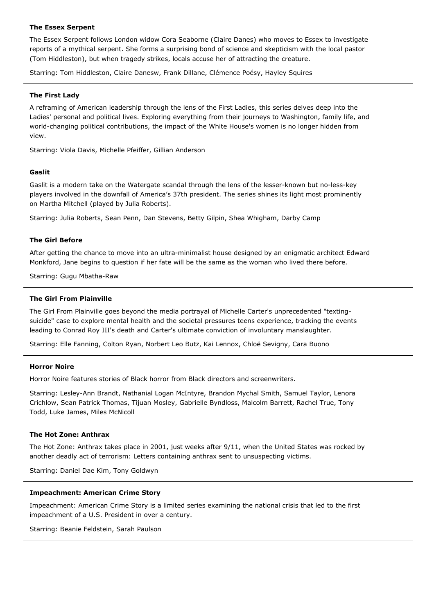### **The Essex Serpent**

The Essex Serpent follows London widow Cora Seaborne (Claire Danes) who moves to Essex to investigate reports of a mythical serpent. She forms a surprising bond of science and skepticism with the local pastor (Tom Hiddleston), but when tragedy strikes, locals accuse her of attracting the creature.

Starring: Tom Hiddleston, Claire Danesw, Frank Dillane, Clémence Poésy, Hayley Squires

### **The First Lady**

A reframing of American leadership through the lens of the First Ladies, this series delves deep into the Ladies' personal and political lives. Exploring everything from their journeys to Washington, family life, and world-changing political contributions, the impact of the White House's women is no longer hidden from view.

Starring: Viola Davis, Michelle Pfeiffer, Gillian Anderson

# **Gaslit**

Gaslit is a modern take on the Watergate scandal through the lens of the lesser-known but no-less-key players involved in the downfall of America's 37th president. The series shines its light most prominently on Martha Mitchell (played by Julia Roberts).

Starring: Julia Roberts, Sean Penn, Dan Stevens, Betty Gilpin, Shea Whigham, Darby Camp

### **The Girl Before**

After getting the chance to move into an ultra-minimalist house designed by an enigmatic architect Edward Monkford, Jane begins to question if her fate will be the same as the woman who lived there before.

Starring: Gugu Mbatha-Raw

# **The Girl From Plainville**

The Girl From Plainville goes beyond the media portrayal of Michelle Carter's unprecedented "textingsuicide" case to explore mental health and the societal pressures teens experience, tracking the events leading to Conrad Roy III's death and Carter's ultimate conviction of involuntary manslaughter.

Starring: Elle Fanning, Colton Ryan, Norbert Leo Butz, Kai Lennox, Chloë Sevigny, Cara Buono

### **Horror Noire**

Horror Noire features stories of Black horror from Black directors and screenwriters.

Starring: Lesley-Ann Brandt, Nathanial Logan McIntyre, Brandon Mychal Smith, Samuel Taylor, Lenora Crichlow, Sean Patrick Thomas, Tijuan Mosley, Gabrielle Byndloss, Malcolm Barrett, Rachel True, Tony Todd, Luke James, Miles McNicoll

# **The Hot Zone: Anthrax**

The Hot Zone: Anthrax takes place in 2001, just weeks after 9/11, when the United States was rocked by another deadly act of terrorism: Letters containing anthrax sent to unsuspecting victims.

Starring: Daniel Dae Kim, Tony Goldwyn

### **Impeachment: American Crime Story**

Impeachment: American Crime Story is a limited series examining the national crisis that led to the first impeachment of a U.S. President in over a century.

Starring: Beanie Feldstein, Sarah Paulson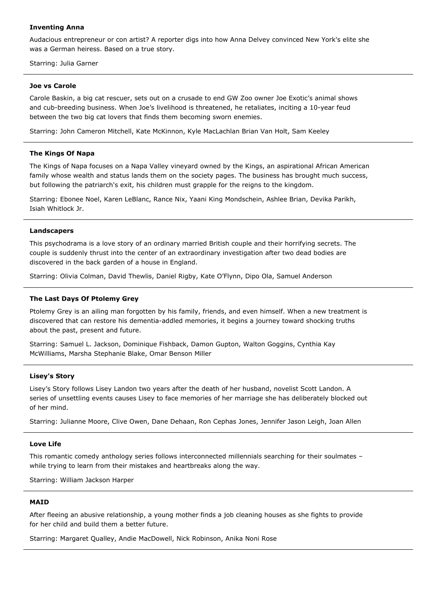### **Inventing Anna**

Audacious entrepreneur or con artist? A reporter digs into how Anna Delvey convinced New York's elite she was a German heiress. Based on a true story.

Starring: Julia Garner

### **Joe vs Carole**

Carole Baskin, a big cat rescuer, sets out on a crusade to end GW Zoo owner Joe Exotic's animal shows and cub-breeding business. When Joe's livelihood is threatened, he retaliates, inciting a 10-year feud between the two big cat lovers that finds them becoming sworn enemies.

Starring: John Cameron Mitchell, Kate McKinnon, Kyle MacLachlan Brian Van Holt, Sam Keeley

### **The Kings Of Napa**

The Kings of Napa focuses on a Napa Valley vineyard owned by the Kings, an aspirational African American family whose wealth and status lands them on the society pages. The business has brought much success, but following the patriarch's exit, his children must grapple for the reigns to the kingdom.

Starring: Ebonee Noel, Karen LeBlanc, Rance Nix, Yaani King Mondschein, Ashlee Brian, Devika Parikh, Isiah Whitlock Jr.

### **Landscapers**

This psychodrama is a love story of an ordinary married British couple and their horrifying secrets. The couple is suddenly thrust into the center of an extraordinary investigation after two dead bodies are discovered in the back garden of a house in England.

Starring: Olivia Colman, David Thewlis, Daniel Rigby, Kate O'Flynn, Dipo Ola, Samuel Anderson

### **The Last Days Of Ptolemy Grey**

Ptolemy Grey is an ailing man forgotten by his family, friends, and even himself. When a new treatment is discovered that can restore his dementia-addled memories, it begins a journey toward shocking truths about the past, present and future.

Starring: Samuel L. Jackson, Dominique Fishback, Damon Gupton, Walton Goggins, Cynthia Kay McWilliams, Marsha Stephanie Blake, Omar Benson Miller

### **Lisey's Story**

Lisey's Story follows Lisey Landon two years after the death of her husband, novelist Scott Landon. A series of unsettling events causes Lisey to face memories of her marriage she has deliberately blocked out of her mind.

Starring: Julianne Moore, Clive Owen, Dane Dehaan, Ron Cephas Jones, Jennifer Jason Leigh, Joan Allen

### **Love Life**

This romantic comedy anthology series follows interconnected millennials searching for their soulmates – while trying to learn from their mistakes and heartbreaks along the way.

Starring: William Jackson Harper

#### **MAID**

After fleeing an abusive relationship, a young mother finds a job cleaning houses as she fights to provide for her child and build them a better future.

Starring: Margaret Qualley, Andie MacDowell, Nick Robinson, Anika Noni Rose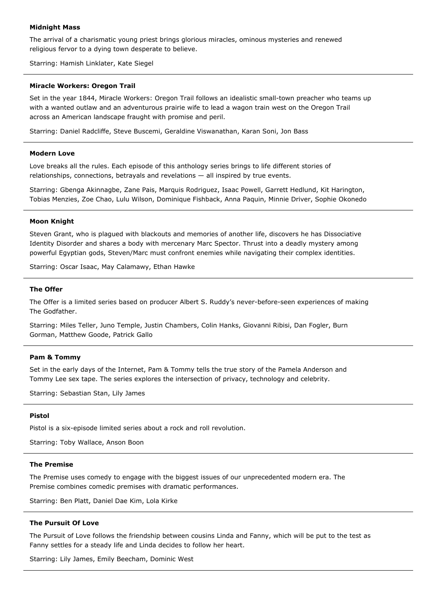### **Midnight Mass**

The arrival of a charismatic young priest brings glorious miracles, ominous mysteries and renewed religious fervor to a dying town desperate to believe.

Starring: Hamish Linklater, Kate Siegel

#### **Miracle Workers: Oregon Trail**

Set in the year 1844, Miracle Workers: Oregon Trail follows an idealistic small-town preacher who teams up with a wanted outlaw and an adventurous prairie wife to lead a wagon train west on the Oregon Trail across an American landscape fraught with promise and peril.

Starring: Daniel Radcliffe, Steve Buscemi, Geraldine Viswanathan, Karan Soni, Jon Bass

### **Modern Love**

Love breaks all the rules. Each episode of this anthology series brings to life different stories of relationships, connections, betrayals and revelations — all inspired by true events.

Starring: Gbenga Akinnagbe, Zane Pais, Marquis Rodriguez, Isaac Powell, Garrett Hedlund, Kit Harington, Tobias Menzies, Zoe Chao, Lulu Wilson, Dominique Fishback, Anna Paquin, Minnie Driver, Sophie Okonedo

### **Moon Knight**

Steven Grant, who is plagued with blackouts and memories of another life, discovers he has Dissociative Identity Disorder and shares a body with mercenary Marc Spector. Thrust into a deadly mystery among powerful Egyptian gods, Steven/Marc must confront enemies while navigating their complex identities.

Starring: Oscar Isaac, May Calamawy, Ethan Hawke

### **The Offer**

The Offer is a limited series based on producer Albert S. Ruddy's never-before-seen experiences of making The Godfather.

Starring: Miles Teller, Juno Temple, Justin Chambers, Colin Hanks, Giovanni Ribisi, Dan Fogler, Burn Gorman, Matthew Goode, Patrick Gallo

#### **Pam & Tommy**

Set in the early days of the Internet, Pam & Tommy tells the true story of the Pamela Anderson and Tommy Lee sex tape. The series explores the intersection of privacy, technology and celebrity.

Starring: Sebastian Stan, Lily James

#### **Pistol**

Pistol is a six-episode limited series about a rock and roll revolution.

Starring: Toby Wallace, Anson Boon

#### **The Premise**

The Premise uses comedy to engage with the biggest issues of our unprecedented modern era. The Premise combines comedic premises with dramatic performances.

Starring: Ben Platt, Daniel Dae Kim, Lola Kirke

### **The Pursuit Of Love**

The Pursuit of Love follows the friendship between cousins Linda and Fanny, which will be put to the test as Fanny settles for a steady life and Linda decides to follow her heart.

Starring: Lily James, Emily Beecham, Dominic West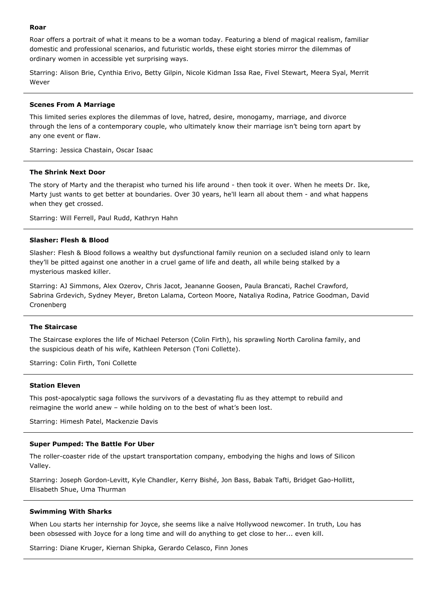### **Roar**

Roar offers a portrait of what it means to be a woman today. Featuring a blend of magical realism, familiar domestic and professional scenarios, and futuristic worlds, these eight stories mirror the dilemmas of ordinary women in accessible yet surprising ways.

Starring: Alison Brie, Cynthia Erivo, Betty Gilpin, Nicole Kidman Issa Rae, Fivel Stewart, Meera Syal, Merrit Wever

### **Scenes From A Marriage**

This limited series explores the dilemmas of love, hatred, desire, monogamy, marriage, and divorce through the lens of a contemporary couple, who ultimately know their marriage isn't being torn apart by any one event or flaw.

Starring: Jessica Chastain, Oscar Isaac

# **The Shrink Next Door**

The story of Marty and the therapist who turned his life around - then took it over. When he meets Dr. Ike, Marty just wants to get better at boundaries. Over 30 years, he'll learn all about them - and what happens when they get crossed.

Starring: Will Ferrell, Paul Rudd, Kathryn Hahn

#### **Slasher: Flesh & Blood**

Slasher: Flesh & Blood follows a wealthy but dysfunctional family reunion on a secluded island only to learn they'll be pitted against one another in a cruel game of life and death, all while being stalked by a mysterious masked killer.

Starring: AJ Simmons, Alex Ozerov, Chris Jacot, Jeananne Goosen, Paula Brancati, Rachel Crawford, Sabrina Grdevich, Sydney Meyer, Breton Lalama, Corteon Moore, Nataliya Rodina, Patrice Goodman, David Cronenberg

#### **The Staircase**

The Staircase explores the life of Michael Peterson (Colin Firth), his sprawling North Carolina family, and the suspicious death of his wife, Kathleen Peterson (Toni Collette).

Starring: Colin Firth, Toni Collette

### **Station Eleven**

This post-apocalyptic saga follows the survivors of a devastating flu as they attempt to rebuild and reimagine the world anew – while holding on to the best of what's been lost.

Starring: Himesh Patel, Mackenzie Davis

#### **Super Pumped: The Battle For Uber**

The roller-coaster ride of the upstart transportation company, embodying the highs and lows of Silicon Valley.

Starring: Joseph Gordon-Levitt, Kyle Chandler, Kerry Bishé, Jon Bass, Babak Tafti, Bridget Gao-Hollitt, Elisabeth Shue, Uma Thurman

#### **Swimming With Sharks**

When Lou starts her internship for Joyce, she seems like a naïve Hollywood newcomer. In truth, Lou has been obsessed with Joyce for a long time and will do anything to get close to her... even kill.

Starring: Diane Kruger, Kiernan Shipka, Gerardo Celasco, Finn Jones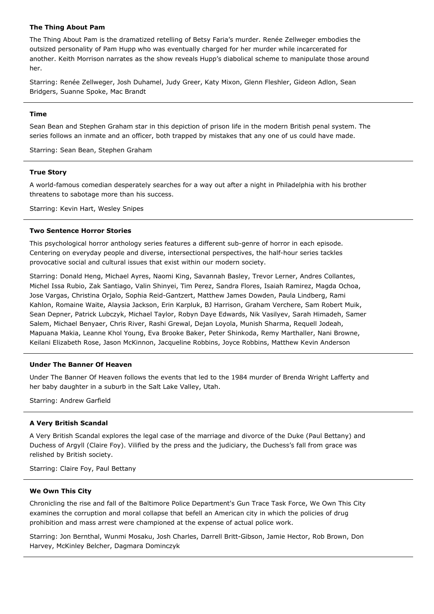# **The Thing About Pam**

The Thing About Pam is the dramatized retelling of Betsy Faria's murder. Renée Zellweger embodies the outsized personality of Pam Hupp who was eventually charged for her murder while incarcerated for another. Keith Morrison narrates as the show reveals Hupp's diabolical scheme to manipulate those around her.

Starring: Renée Zellweger, Josh Duhamel, Judy Greer, Katy Mixon, Glenn Fleshler, Gideon Adlon, Sean Bridgers, Suanne Spoke, Mac Brandt

### **Time**

Sean Bean and Stephen Graham star in this depiction of prison life in the modern British penal system. The series follows an inmate and an officer, both trapped by mistakes that any one of us could have made.

Starring: Sean Bean, Stephen Graham

### **True Story**

A world-famous comedian desperately searches for a way out after a night in Philadelphia with his brother threatens to sabotage more than his success.

Starring: Kevin Hart, Wesley Snipes

### **Two Sentence Horror Stories**

This psychological horror anthology series features a different sub-genre of horror in each episode. Centering on everyday people and diverse, intersectional perspectives, the half-hour series tackles provocative social and cultural issues that exist within our modern society.

Starring: Donald Heng, Michael Ayres, Naomi King, Savannah Basley, Trevor Lerner, Andres Collantes, Michel Issa Rubio, Zak Santiago, Valin Shinyei, Tim Perez, Sandra Flores, Isaiah Ramirez, Magda Ochoa, Jose Vargas, Christina Orjalo, Sophia Reid-Gantzert, Matthew James Dowden, Paula Lindberg, Rami Kahlon, Romaine Waite, Alaysia Jackson, Erin Karpluk, BJ Harrison, Graham Verchere, Sam Robert Muik, Sean Depner, Patrick Lubczyk, Michael Taylor, Robyn Daye Edwards, Nik Vasilyev, Sarah Himadeh, Samer Salem, Michael Benyaer, Chris River, Rashi Grewal, Dejan Loyola, Munish Sharma, Requell Jodeah, Mapuana Makia, Leanne Khol Young, Eva Brooke Baker, Peter Shinkoda, Remy Marthaller, Nani Browne, Keilani Elizabeth Rose, Jason McKinnon, Jacqueline Robbins, Joyce Robbins, Matthew Kevin Anderson

### **Under The Banner Of Heaven**

Under The Banner Of Heaven follows the events that led to the 1984 murder of Brenda Wright Lafferty and her baby daughter in a suburb in the Salt Lake Valley, Utah.

Starring: Andrew Garfield

#### **A Very British Scandal**

A Very British Scandal explores the legal case of the marriage and divorce of the Duke (Paul Bettany) and Duchess of Argyll (Claire Foy). Vilified by the press and the judiciary, the Duchess's fall from grace was relished by British society.

Starring: Claire Foy, Paul Bettany

### **We Own This City**

Chronicling the rise and fall of the Baltimore Police Department's Gun Trace Task Force, We Own This City examines the corruption and moral collapse that befell an American city in which the policies of drug prohibition and mass arrest were championed at the expense of actual police work.

Starring: Jon Bernthal, Wunmi Mosaku, Josh Charles, Darrell Britt-Gibson, Jamie Hector, Rob Brown, Don Harvey, McKinley Belcher, Dagmara Dominczyk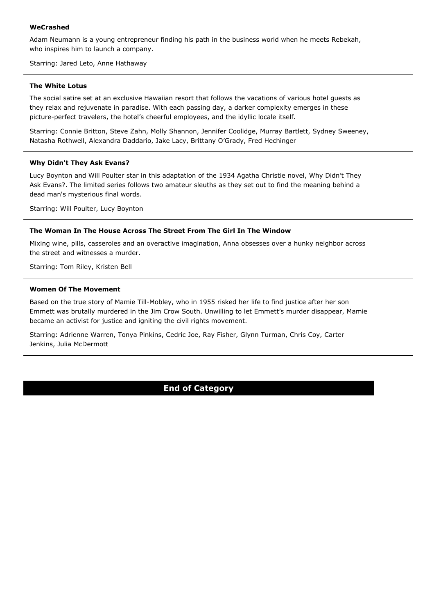# **WeCrashed**

Adam Neumann is a young entrepreneur finding his path in the business world when he meets Rebekah, who inspires him to launch a company.

Starring: Jared Leto, Anne Hathaway

### **The White Lotus**

The social satire set at an exclusive Hawaiian resort that follows the vacations of various hotel guests as they relax and rejuvenate in paradise. With each passing day, a darker complexity emerges in these picture-perfect travelers, the hotel's cheerful employees, and the idyllic locale itself.

Starring: Connie Britton, Steve Zahn, Molly Shannon, Jennifer Coolidge, Murray Bartlett, Sydney Sweeney, Natasha Rothwell, Alexandra Daddario, Jake Lacy, Brittany O'Grady, Fred Hechinger

### **Why Didn't They Ask Evans?**

Lucy Boynton and Will Poulter star in this adaptation of the 1934 Agatha Christie novel, Why Didn't They Ask Evans?. The limited series follows two amateur sleuths as they set out to find the meaning behind a dead man's mysterious final words.

Starring: Will Poulter, Lucy Boynton

### **The Woman In The House Across The Street From The Girl In The Window**

Mixing wine, pills, casseroles and an overactive imagination, Anna obsesses over a hunky neighbor across the street and witnesses a murder.

Starring: Tom Riley, Kristen Bell

### **Women Of The Movement**

Based on the true story of Mamie Till-Mobley, who in 1955 risked her life to find justice after her son Emmett was brutally murdered in the Jim Crow South. Unwilling to let Emmett's murder disappear, Mamie became an activist for justice and igniting the civil rights movement.

Starring: Adrienne Warren, Tonya Pinkins, Cedric Joe, Ray Fisher, Glynn Turman, Chris Coy, Carter Jenkins, Julia McDermott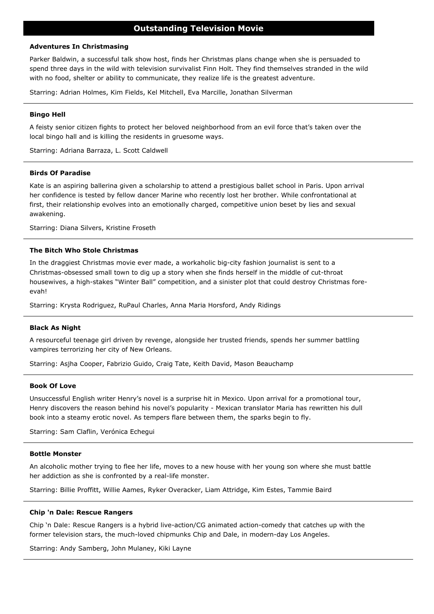# **Outstanding Television Movie**

### **Adventures In Christmasing**

Parker Baldwin, a successful talk show host, finds her Christmas plans change when she is persuaded to spend three days in the wild with television survivalist Finn Holt. They find themselves stranded in the wild with no food, shelter or ability to communicate, they realize life is the greatest adventure.

Starring: Adrian Holmes, Kim Fields, Kel Mitchell, Eva Marcille, Jonathan Silverman

### **Bingo Hell**

A feisty senior citizen fights to protect her beloved neighborhood from an evil force that's taken over the local bingo hall and is killing the residents in gruesome ways.

Starring: Adriana Barraza, L. Scott Caldwell

# **Birds Of Paradise**

Kate is an aspiring ballerina given a scholarship to attend a prestigious ballet school in Paris. Upon arrival her confidence is tested by fellow dancer Marine who recently lost her brother. While confrontational at first, their relationship evolves into an emotionally charged, competitive union beset by lies and sexual awakening.

Starring: Diana Silvers, Kristine Froseth

### **The Bitch Who Stole Christmas**

In the draggiest Christmas movie ever made, a workaholic big-city fashion journalist is sent to a Christmas-obsessed small town to dig up a story when she finds herself in the middle of cut-throat housewives, a high-stakes "Winter Ball" competition, and a sinister plot that could destroy Christmas foreevah!

Starring: Krysta Rodriguez, RuPaul Charles, Anna Maria Horsford, Andy Ridings

#### **Black As Night**

A resourceful teenage girl driven by revenge, alongside her trusted friends, spends her summer battling vampires terrorizing her city of New Orleans.

Starring: Asjha Cooper, Fabrizio Guido, Craig Tate, Keith David, Mason Beauchamp

### **Book Of Love**

Unsuccessful English writer Henry's novel is a surprise hit in Mexico. Upon arrival for a promotional tour, Henry discovers the reason behind his novel's popularity - Mexican translator Maria has rewritten his dull book into a steamy erotic novel. As tempers flare between them, the sparks begin to fly.

Starring: Sam Claflin, Verónica Echegui

### **Bottle Monster**

An alcoholic mother trying to flee her life, moves to a new house with her young son where she must battle her addiction as she is confronted by a real-life monster.

Starring: Billie Proffitt, Willie Aames, Ryker Overacker, Liam Attridge, Kim Estes, Tammie Baird

#### **Chip 'n Dale: Rescue Rangers**

Chip 'n Dale: Rescue Rangers is a hybrid live-action/CG animated action-comedy that catches up with the former television stars, the much-loved chipmunks Chip and Dale, in modern-day Los Angeles.

Starring: Andy Samberg, John Mulaney, Kiki Layne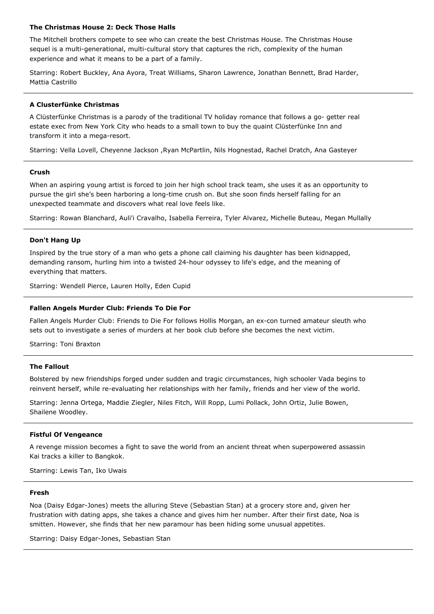# **The Christmas House 2: Deck Those Halls**

The Mitchell brothers compete to see who can create the best Christmas House. The Christmas House sequel is a multi-generational, multi-cultural story that captures the rich, complexity of the human experience and what it means to be a part of a family.

Starring: Robert Buckley, Ana Ayora, Treat Williams, Sharon Lawrence, Jonathan Bennett, Brad Harder, Mattia Castrillo

# **A Clusterfünke Christmas**

A Clüsterfünke Christmas is a parody of the traditional TV holiday romance that follows a go- getter real estate exec from New York City who heads to a small town to buy the quaint Clüsterfünke Inn and transform it into a mega-resort.

Starring: Vella Lovell, Cheyenne Jackson ,Ryan McPartlin, Nils Hognestad, Rachel Dratch, Ana Gasteyer

# **Crush**

When an aspiring young artist is forced to join her high school track team, she uses it as an opportunity to pursue the girl she's been harboring a long-time crush on. But she soon finds herself falling for an unexpected teammate and discovers what real love feels like.

Starring: Rowan Blanchard, Auli'i Cravalho, Isabella Ferreira, Tyler Alvarez, Michelle Buteau, Megan Mullally

# **Don't Hang Up**

Inspired by the true story of a man who gets a phone call claiming his daughter has been kidnapped, demanding ransom, hurling him into a twisted 24-hour odyssey to life's edge, and the meaning of everything that matters.

Starring: Wendell Pierce, Lauren Holly, Eden Cupid

### **Fallen Angels Murder Club: Friends To Die For**

Fallen Angels Murder Club: Friends to Die For follows Hollis Morgan, an ex-con turned amateur sleuth who sets out to investigate a series of murders at her book club before she becomes the next victim.

Starring: Toni Braxton

# **The Fallout**

Bolstered by new friendships forged under sudden and tragic circumstances, high schooler Vada begins to reinvent herself, while re-evaluating her relationships with her family, friends and her view of the world.

Starring: Jenna Ortega, Maddie Ziegler, Niles Fitch, Will Ropp, Lumi Pollack, John Ortiz, Julie Bowen, Shailene Woodley.

# **Fistful Of Vengeance**

A revenge mission becomes a fight to save the world from an ancient threat when superpowered assassin Kai tracks a killer to Bangkok.

Starring: Lewis Tan, Iko Uwais

### **Fresh**

Noa (Daisy Edgar-Jones) meets the alluring Steve (Sebastian Stan) at a grocery store and, given her frustration with dating apps, she takes a chance and gives him her number. After their first date, Noa is smitten. However, she finds that her new paramour has been hiding some unusual appetites.

Starring: Daisy Edgar-Jones, Sebastian Stan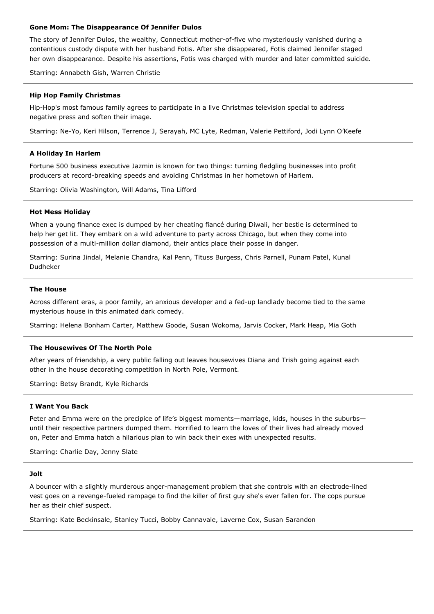### **Gone Mom: The Disappearance Of Jennifer Dulos**

The story of Jennifer Dulos, the wealthy, Connecticut mother-of-five who mysteriously vanished during a contentious custody dispute with her husband Fotis. After she disappeared, Fotis claimed Jennifer staged her own disappearance. Despite his assertions, Fotis was charged with murder and later committed suicide.

Starring: Annabeth Gish, Warren Christie

# **Hip Hop Family Christmas**

Hip-Hop's most famous family agrees to participate in a live Christmas television special to address negative press and soften their image.

Starring: Ne-Yo, Keri Hilson, Terrence J, Serayah, MC Lyte, Redman, Valerie Pettiford, Jodi Lynn O'Keefe

# **A Holiday In Harlem**

Fortune 500 business executive Jazmin is known for two things: turning fledgling businesses into profit producers at record-breaking speeds and avoiding Christmas in her hometown of Harlem.

Starring: Olivia Washington, Will Adams, Tina Lifford

# **Hot Mess Holiday**

When a young finance exec is dumped by her cheating fiancé during Diwali, her bestie is determined to help her get lit. They embark on a wild adventure to party across Chicago, but when they come into possession of a multi-million dollar diamond, their antics place their posse in danger.

Starring: Surina Jindal, Melanie Chandra, Kal Penn, Tituss Burgess, Chris Parnell, Punam Patel, Kunal Dudheker

### **The House**

Across different eras, a poor family, an anxious developer and a fed-up landlady become tied to the same mysterious house in this animated dark comedy.

Starring: Helena Bonham Carter, Matthew Goode, Susan Wokoma, Jarvis Cocker, Mark Heap, Mia Goth

# **The Housewives Of The North Pole**

After years of friendship, a very public falling out leaves housewives Diana and Trish going against each other in the house decorating competition in North Pole, Vermont.

Starring: Betsy Brandt, Kyle Richards

# **I Want You Back**

Peter and Emma were on the precipice of life's biggest moments—marriage, kids, houses in the suburbs until their respective partners dumped them. Horrified to learn the loves of their lives had already moved on, Peter and Emma hatch a hilarious plan to win back their exes with unexpected results.

Starring: Charlie Day, Jenny Slate

### **Jolt**

A bouncer with a slightly murderous anger-management problem that she controls with an electrode-lined vest goes on a revenge-fueled rampage to find the killer of first guy she's ever fallen for. The cops pursue her as their chief suspect.

Starring: Kate Beckinsale, Stanley Tucci, Bobby Cannavale, Laverne Cox, Susan Sarandon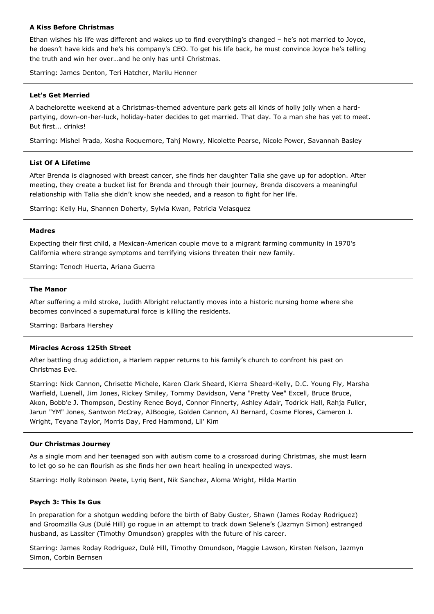# **A Kiss Before Christmas**

Ethan wishes his life was different and wakes up to find everything's changed – he's not married to Joyce, he doesn't have kids and he's his company's CEO. To get his life back, he must convince Joyce he's telling the truth and win her over…and he only has until Christmas.

Starring: James Denton, Teri Hatcher, Marilu Henner

# **Let's Get Merried**

A bachelorette weekend at a Christmas-themed adventure park gets all kinds of holly jolly when a hardpartying, down-on-her-luck, holiday-hater decides to get married. That day. To a man she has yet to meet. But first... drinks!

Starring: Mishel Prada, Xosha Roquemore, Tahj Mowry, Nicolette Pearse, Nicole Power, Savannah Basley

# **List Of A Lifetime**

After Brenda is diagnosed with breast cancer, she finds her daughter Talia she gave up for adoption. After meeting, they create a bucket list for Brenda and through their journey, Brenda discovers a meaningful relationship with Talia she didn't know she needed, and a reason to fight for her life.

Starring: Kelly Hu, Shannen Doherty, Sylvia Kwan, Patricia Velasquez

### **Madres**

Expecting their first child, a Mexican-American couple move to a migrant farming community in 1970's California where strange symptoms and terrifying visions threaten their new family.

Starring: Tenoch Huerta, Ariana Guerra

### **The Manor**

After suffering a mild stroke, Judith Albright reluctantly moves into a historic nursing home where she becomes convinced a supernatural force is killing the residents.

Starring: Barbara Hershey

### **Miracles Across 125th Street**

After battling drug addiction, a Harlem rapper returns to his family's church to confront his past on Christmas Eve.

Starring: Nick Cannon, Chrisette Michele, Karen Clark Sheard, Kierra Sheard-Kelly, D.C. Young Fly, Marsha Warfield, Luenell, Jim Jones, Rickey Smiley, Tommy Davidson, Vena "Pretty Vee" Excell, Bruce Bruce, Akon, Bobb'e J. Thompson, Destiny Renee Boyd, Connor Finnerty, Ashley Adair, Todrick Hall, Rahja Fuller, Jarun "YM" Jones, Santwon McCray, AJBoogie, Golden Cannon, AJ Bernard, Cosme Flores, Cameron J. Wright, Teyana Taylor, Morris Day, Fred Hammond, Lil' Kim

### **Our Christmas Journey**

As a single mom and her teenaged son with autism come to a crossroad during Christmas, she must learn to let go so he can flourish as she finds her own heart healing in unexpected ways.

Starring: Holly Robinson Peete, Lyriq Bent, Nik Sanchez, Aloma Wright, Hilda Martin

#### **Psych 3: This Is Gus**

In preparation for a shotgun wedding before the birth of Baby Guster, Shawn (James Roday Rodriguez) and Groomzilla Gus (Dulé Hill) go rogue in an attempt to track down Selene's (Jazmyn Simon) estranged husband, as Lassiter (Timothy Omundson) grapples with the future of his career.

Starring: James Roday Rodriguez, Dulé Hill, Timothy Omundson, Maggie Lawson, Kirsten Nelson, Jazmyn Simon, Corbin Bernsen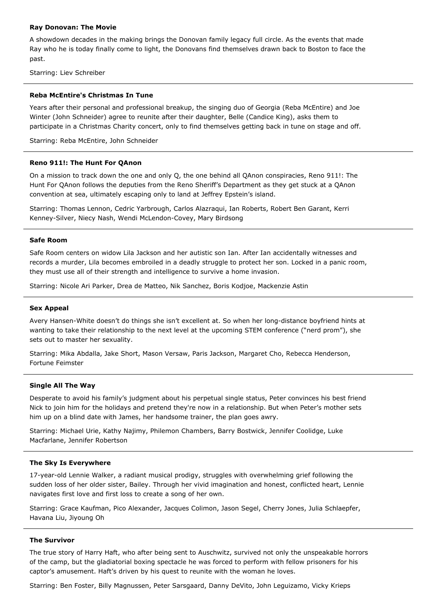### **Ray Donovan: The Movie**

A showdown decades in the making brings the Donovan family legacy full circle. As the events that made Ray who he is today finally come to light, the Donovans find themselves drawn back to Boston to face the past.

Starring: Liev Schreiber

### **Reba McEntire's Christmas In Tune**

Years after their personal and professional breakup, the singing duo of Georgia (Reba McEntire) and Joe Winter (John Schneider) agree to reunite after their daughter, Belle (Candice King), asks them to participate in a Christmas Charity concert, only to find themselves getting back in tune on stage and off.

Starring: Reba McEntire, John Schneider

### **Reno 911!: The Hunt For QAnon**

On a mission to track down the one and only Q, the one behind all QAnon conspiracies, Reno 911!: The Hunt For QAnon follows the deputies from the Reno Sheriff's Department as they get stuck at a QAnon convention at sea, ultimately escaping only to land at Jeffrey Epstein's island.

Starring: Thomas Lennon, Cedric Yarbrough, Carlos Alazraqui, Ian Roberts, Robert Ben Garant, Kerri Kenney-Silver, Niecy Nash, Wendi McLendon-Covey, Mary Birdsong

### **Safe Room**

Safe Room centers on widow Lila Jackson and her autistic son Ian. After Ian accidentally witnesses and records a murder, Lila becomes embroiled in a deadly struggle to protect her son. Locked in a panic room, they must use all of their strength and intelligence to survive a home invasion.

Starring: Nicole Ari Parker, Drea de Matteo, Nik Sanchez, Boris Kodjoe, Mackenzie Astin

#### **Sex Appeal**

Avery Hansen-White doesn't do things she isn't excellent at. So when her long-distance boyfriend hints at wanting to take their relationship to the next level at the upcoming STEM conference ("nerd prom"), she sets out to master her sexuality.

Starring: Mika Abdalla, Jake Short, Mason Versaw, Paris Jackson, Margaret Cho, Rebecca Henderson, Fortune Feimster

#### **Single All The Way**

Desperate to avoid his family's judgment about his perpetual single status, Peter convinces his best friend Nick to join him for the holidays and pretend they're now in a relationship. But when Peter's mother sets him up on a blind date with James, her handsome trainer, the plan goes awry.

Starring: Michael Urie, Kathy Najimy, Philemon Chambers, Barry Bostwick, Jennifer Coolidge, Luke Macfarlane, Jennifer Robertson

### **The Sky Is Everywhere**

17-year-old Lennie Walker, a radiant musical prodigy, struggles with overwhelming grief following the sudden loss of her older sister, Bailey. Through her vivid imagination and honest, conflicted heart, Lennie navigates first love and first loss to create a song of her own.

Starring: Grace Kaufman, Pico Alexander, Jacques Colimon, Jason Segel, Cherry Jones, Julia Schlaepfer, Havana Liu, Jiyoung Oh

### **The Survivor**

The true story of Harry Haft, who after being sent to Auschwitz, survived not only the unspeakable horrors of the camp, but the gladiatorial boxing spectacle he was forced to perform with fellow prisoners for his captor's amusement. Haft's driven by his quest to reunite with the woman he loves.

Starring: Ben Foster, Billy Magnussen, Peter Sarsgaard, Danny DeVito, John Leguizamo, Vicky Krieps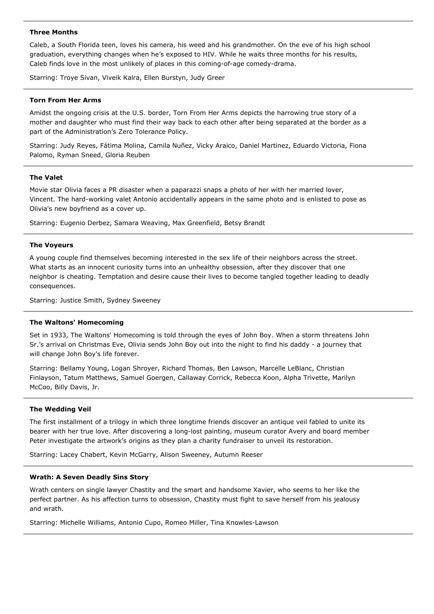### **Three Months**

Caleb, a South Florida teen, loves his camera, his weed and his grandmother. On the eve of his high school graduation, everything changes when he's exposed to HIV. While he waits three months for his results, Caleb finds love in the most unlikely of places in this coming-of-age comedy-drama.

Starring: Troye Sivan, Viveik Kalra, Ellen Burstyn, Judy Greer

# **Torn From Her Arms**

Amidst the ongoing crisis at the U.S. border, Torn From Her Arms depicts the harrowing true story of a mother and daughter who must find their way back to each other after being separated at the border as a part of the Administration's Zero Tolerance Policy.

Starring: Judy Reyes, Fátima Molina, Camila Nuñez, Vicky Araico, Daniel Martinez, Eduardo Victoria, Fiona Palomo, Ryman Sneed, Gloria Reuben

# **The Valet**

Movie star Olivia faces a PR disaster when a paparazzi snaps a photo of her with her married lover, Vincent. The hard-working valet Antonio accidentally appears in the same photo and is enlisted to pose as Olivia's new boyfriend as a cover up.

Starring: Eugenio Derbez, Samara Weaving, Max Greenfield, Betsy Brandt

# **The Voyeurs**

A young couple find themselves becoming interested in the sex life of their neighbors across the street. What starts as an innocent curiosity turns into an unhealthy obsession, after they discover that one neighbor is cheating. Temptation and desire cause their lives to become tangled together leading to deadly consequences.

Starring: Justice Smith, Sydney Sweeney

### **The Waltons' Homecoming**

Set in 1933, The Waltons' Homecoming is told through the eyes of John Boy. When a storm threatens John Sr.'s arrival on Christmas Eve, Olivia sends John Boy out into the night to find his daddy - a journey that will change John Boy's life forever.

Starring: Bellamy Young, Logan Shroyer, Richard Thomas, Ben Lawson, Marcelle LeBlanc, Christian Finlayson, Tatum Matthews, Samuel Goergen, Callaway Corrick, Rebecca Koon, Alpha Trivette, Marilyn McCoo, Billy Davis, Jr.

### **The Wedding Veil**

The first installment of a trilogy in which three longtime friends discover an antique veil fabled to unite its bearer with her true love. After discovering a long-lost painting, museum curator Avery and board member Peter investigate the artwork's origins as they plan a charity fundraiser to unveil its restoration.

Starring: Lacey Chabert, Kevin McGarry, Alison Sweeney, Autumn Reeser

### **Wrath: A Seven Deadly Sins Story**

Wrath centers on single lawyer Chastity and the smart and handsome Xavier, who seems to her like the perfect partner. As his affection turns to obsession, Chastity must fight to save herself from his jealousy and wrath.

Starring: Michelle Williams, Antonio Cupo, Romeo Miller, Tina Knowles-Lawson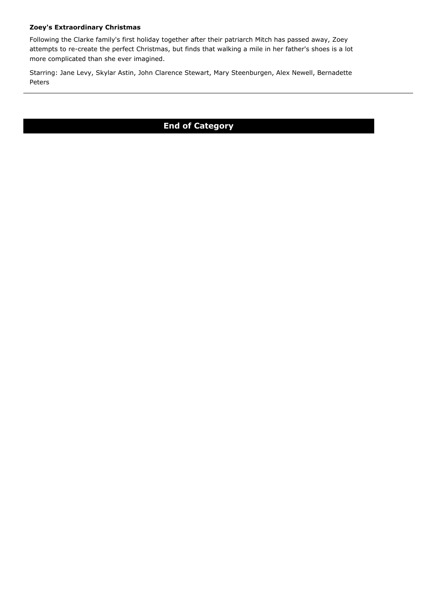# **Zoey's Extraordinary Christmas**

Following the Clarke family's first holiday together after their patriarch Mitch has passed away, Zoey attempts to re-create the perfect Christmas, but finds that walking a mile in her father's shoes is a lot more complicated than she ever imagined.

Starring: Jane Levy, Skylar Astin, John Clarence Stewart, Mary Steenburgen, Alex Newell, Bernadette Peters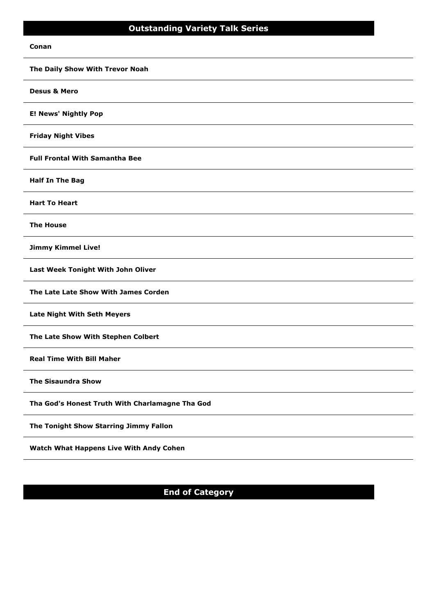#### **Conan**

**The Daily Show With Trevor Noah Desus & Mero E! News' Nightly Pop Friday Night Vibes Full Frontal With Samantha Bee Half In The Bag Hart To Heart The House Jimmy Kimmel Live! Last Week Tonight With John Oliver The Late Late Show With James Corden Late Night With Seth Meyers The Late Show With Stephen Colbert Real Time With Bill Maher The Sisaundra Show Tha God's Honest Truth With Charlamagne Tha God The Tonight Show Starring Jimmy Fallon Watch What Happens Live With Andy Cohen**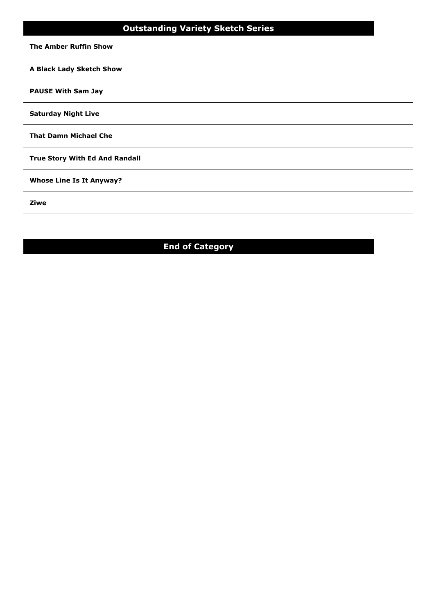# **Outstanding Variety Sketch Series**

**The Amber Ruffin Show**

**A Black Lady Sketch Show**

# **PAUSE With Sam Jay**

**Saturday Night Live**

**That Damn Michael Che**

**True Story With Ed And Randall**

**Whose Line Is It Anyway?**

**Ziwe**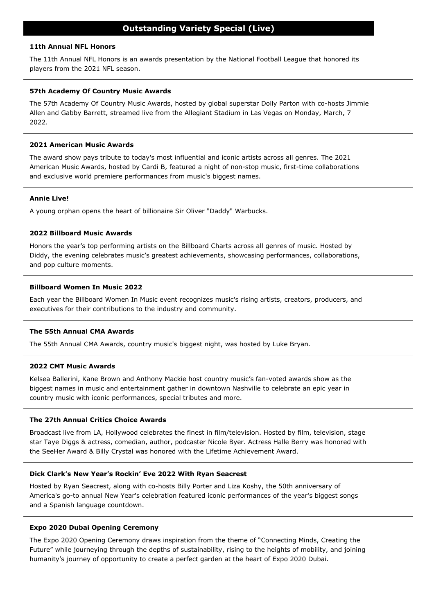# **11th Annual NFL Honors**

The 11th Annual NFL Honors is an awards presentation by the National Football League that honored its players from the 2021 NFL season.

# **57th Academy Of Country Music Awards**

The 57th Academy Of Country Music Awards, hosted by global superstar Dolly Parton with co-hosts Jimmie Allen and Gabby Barrett, streamed live from the Allegiant Stadium in Las Vegas on Monday, March, 7 2022.

# **2021 American Music Awards**

The award show pays tribute to today's most influential and iconic artists across all genres. The 2021 American Music Awards, hosted by Cardi B, featured a night of non-stop music, first-time collaborations and exclusive world premiere performances from music's biggest names.

# **Annie Live!**

A young orphan opens the heart of billionaire Sir Oliver "Daddy" Warbucks.

# **2022 Billboard Music Awards**

Honors the year's top performing artists on the Billboard Charts across all genres of music. Hosted by Diddy, the evening celebrates music's greatest achievements, showcasing performances, collaborations, and pop culture moments.

# **Billboard Women In Music 2022**

Each year the Billboard Women In Music event recognizes music's rising artists, creators, producers, and executives for their contributions to the industry and community.

### **The 55th Annual CMA Awards**

The 55th Annual CMA Awards, country music's biggest night, was hosted by Luke Bryan.

### **2022 CMT Music Awards**

Kelsea Ballerini, Kane Brown and Anthony Mackie host country music's fan-voted awards show as the biggest names in music and entertainment gather in downtown Nashville to celebrate an epic year in country music with iconic performances, special tributes and more.

# **The 27th Annual Critics Choice Awards**

Broadcast live from LA, Hollywood celebrates the finest in film/television. Hosted by film, television, stage star Taye Diggs & actress, comedian, author, podcaster Nicole Byer. Actress Halle Berry was honored with the SeeHer Award & Billy Crystal was honored with the Lifetime Achievement Award.

# **Dick Clark's New Year's Rockin' Eve 2022 With Ryan Seacrest**

Hosted by Ryan Seacrest, along with co-hosts Billy Porter and Liza Koshy, the 50th anniversary of America's go-to annual New Year's celebration featured iconic performances of the year's biggest songs and a Spanish language countdown.

### **Expo 2020 Dubai Opening Ceremony**

The Expo 2020 Opening Ceremony draws inspiration from the theme of "Connecting Minds, Creating the Future" while journeying through the depths of sustainability, rising to the heights of mobility, and joining humanity's journey of opportunity to create a perfect garden at the heart of Expo 2020 Dubai.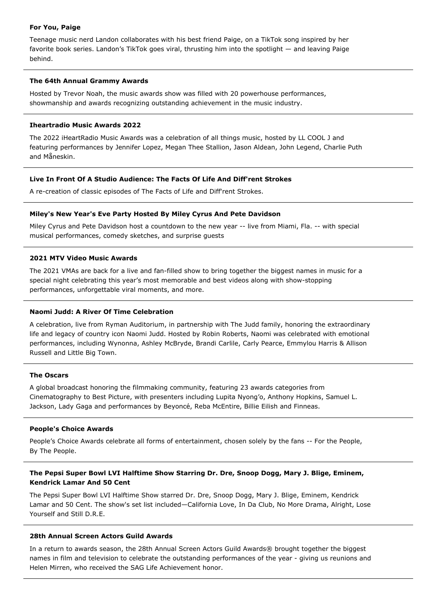### **For You, Paige**

Teenage music nerd Landon collaborates with his best friend Paige, on a TikTok song inspired by her favorite book series. Landon's TikTok goes viral, thrusting him into the spotlight — and leaving Paige behind.

# **The 64th Annual Grammy Awards**

Hosted by Trevor Noah, the music awards show was filled with 20 powerhouse performances, showmanship and awards recognizing outstanding achievement in the music industry.

# **Iheartradio Music Awards 2022**

The 2022 iHeartRadio Music Awards was a celebration of all things music, hosted by LL COOL J and featuring performances by Jennifer Lopez, Megan Thee Stallion, Jason Aldean, John Legend, Charlie Puth and Måneskin.

# **Live In Front Of A Studio Audience: The Facts Of Life And Diff'rent Strokes**

A re-creation of classic episodes of The Facts of Life and Diff'rent Strokes.

# **Miley's New Year's Eve Party Hosted By Miley Cyrus And Pete Davidson**

Miley Cyrus and Pete Davidson host a countdown to the new year -- live from Miami, Fla. -- with special musical performances, comedy sketches, and surprise guests

# **2021 MTV Video Music Awards**

The 2021 VMAs are back for a live and fan-filled show to bring together the biggest names in music for a special night celebrating this year's most memorable and best videos along with show-stopping performances, unforgettable viral moments, and more.

# **Naomi Judd: A River Of Time Celebration**

A celebration, live from Ryman Auditorium, in partnership with The Judd family, honoring the extraordinary life and legacy of country icon Naomi Judd. Hosted by Robin Roberts, Naomi was celebrated with emotional performances, including Wynonna, Ashley McBryde, Brandi Carlile, Carly Pearce, Emmylou Harris & Allison Russell and Little Big Town.

### **The Oscars**

A global broadcast honoring the filmmaking community, featuring 23 awards categories from Cinematography to Best Picture, with presenters including Lupita Nyong'o, Anthony Hopkins, Samuel L. Jackson, Lady Gaga and performances by Beyonće, Reba McEntire, Billie Eilish and Finneas.

### **People's Choice Awards**

People's Choice Awards celebrate all forms of entertainment, chosen solely by the fans -- For the People, By The People.

# **The Pepsi Super Bowl LVI Halftime Show Starring Dr. Dre, Snoop Dogg, Mary J. Blige, Eminem, Kendrick Lamar And 50 Cent**

The Pepsi Super Bowl LVI Halftime Show starred Dr. Dre, Snoop Dogg, Mary J. Blige, Eminem, Kendrick Lamar and 50 Cent. The show's set list included—California Love, In Da Club, No More Drama, Alright, Lose Yourself and Still D.R.E.

# **28th Annual Screen Actors Guild Awards**

In a return to awards season, the 28th Annual Screen Actors Guild Awards® brought together the biggest names in film and television to celebrate the outstanding performances of the year - giving us reunions and Helen Mirren, who received the SAG Life Achievement honor.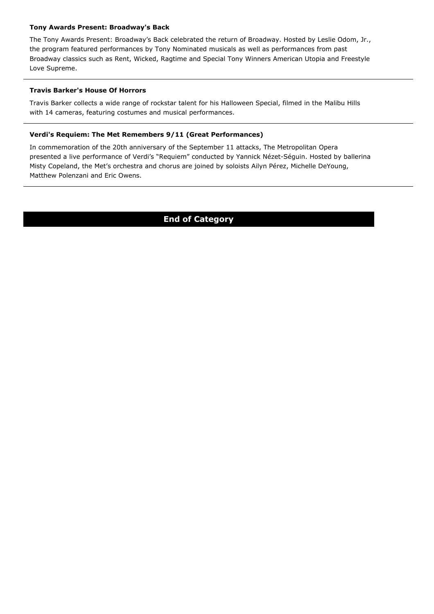# **Tony Awards Present: Broadway's Back**

The Tony Awards Present: Broadway's Back celebrated the return of Broadway. Hosted by Leslie Odom, Jr., the program featured performances by Tony Nominated musicals as well as performances from past Broadway classics such as Rent, Wicked, Ragtime and Special Tony Winners American Utopia and Freestyle Love Supreme.

# **Travis Barker's House Of Horrors**

Travis Barker collects a wide range of rockstar talent for his Halloween Special, filmed in the Malibu Hills with 14 cameras, featuring costumes and musical performances.

# **Verdi's Requiem: The Met Remembers 9/11 (Great Performances)**

In commemoration of the 20th anniversary of the September 11 attacks, The Metropolitan Opera presented a live performance of Verdi's "Requiem" conducted by Yannick Nézet-Séguin. Hosted by ballerina Misty Copeland, the Met's orchestra and chorus are joined by soloists Ailyn Pérez, Michelle DeYoung, Matthew Polenzani and Eric Owens.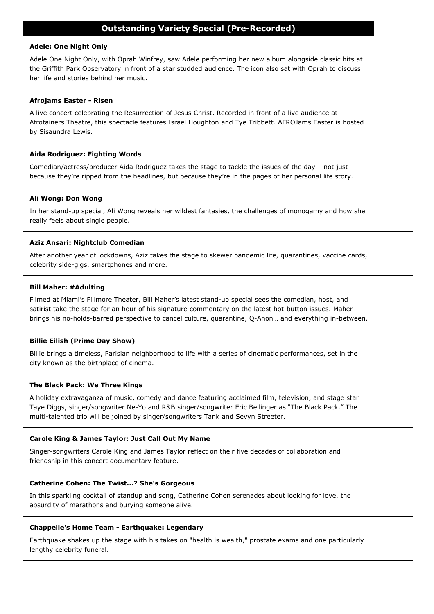# **Outstanding Variety Special (Pre-Recorded)**

### **Adele: One Night Only**

Adele One Night Only, with Oprah Winfrey, saw Adele performing her new album alongside classic hits at the Griffith Park Observatory in front of a star studded audience. The icon also sat with Oprah to discuss her life and stories behind her music.

### **Afrojams Easter - Risen**

A live concert celebrating the Resurrection of Jesus Christ. Recorded in front of a live audience at Afrotainers Theatre, this spectacle features Israel Houghton and Tye Tribbett. AFROJams Easter is hosted by Sisaundra Lewis.

### **Aida Rodriguez: Fighting Words**

Comedian/actress/producer Aida Rodriguez takes the stage to tackle the issues of the day – not just because they're ripped from the headlines, but because they're in the pages of her personal life story.

### **Ali Wong: Don Wong**

In her stand-up special, Ali Wong reveals her wildest fantasies, the challenges of monogamy and how she really feels about single people.

### **Aziz Ansari: Nightclub Comedian**

After another year of lockdowns, Aziz takes the stage to skewer pandemic life, quarantines, vaccine cards, celebrity side-gigs, smartphones and more.

### **Bill Maher: #Adulting**

Filmed at Miami's Fillmore Theater, Bill Maher's latest stand-up special sees the comedian, host, and satirist take the stage for an hour of his signature commentary on the latest hot-button issues. Maher brings his no-holds-barred perspective to cancel culture, quarantine, Q-Anon… and everything in-between.

#### **Billie Eilish (Prime Day Show)**

Billie brings a timeless, Parisian neighborhood to life with a series of cinematic performances, set in the city known as the birthplace of cinema.

#### **The Black Pack: We Three Kings**

A holiday extravaganza of music, comedy and dance featuring acclaimed film, television, and stage star Taye Diggs, singer/songwriter Ne-Yo and R&B singer/songwriter Eric Bellinger as "The Black Pack." The multi-talented trio will be joined by singer/songwriters Tank and Sevyn Streeter.

### **Carole King & James Taylor: Just Call Out My Name**

Singer-songwriters Carole King and James Taylor reflect on their five decades of collaboration and friendship in this concert documentary feature.

### **Catherine Cohen: The Twist...? She's Gorgeous**

In this sparkling cocktail of standup and song, Catherine Cohen serenades about looking for love, the absurdity of marathons and burying someone alive.

#### **Chappelle's Home Team - Earthquake: Legendary**

Earthquake shakes up the stage with his takes on "health is wealth," prostate exams and one particularly lengthy celebrity funeral.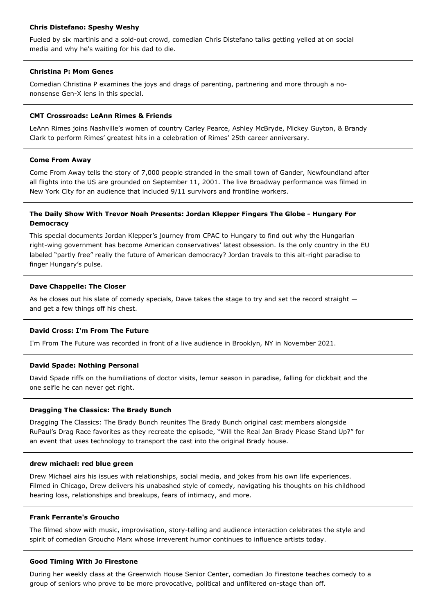# **Chris Distefano: Speshy Weshy**

Fueled by six martinis and a sold-out crowd, comedian Chris Distefano talks getting yelled at on social media and why he's waiting for his dad to die.

# **Christina P: Mom Genes**

Comedian Christina P examines the joys and drags of parenting, partnering and more through a nononsense Gen-X lens in this special.

# **CMT Crossroads: LeAnn Rimes & Friends**

LeAnn Rimes joins Nashville's women of country Carley Pearce, Ashley McBryde, Mickey Guyton, & Brandy Clark to perform Rimes' greatest hits in a celebration of Rimes' 25th career anniversary.

# **Come From Away**

Come From Away tells the story of 7,000 people stranded in the small town of Gander, Newfoundland after all flights into the US are grounded on September 11, 2001. The live Broadway performance was filmed in New York City for an audience that included 9/11 survivors and frontline workers.

# **The Daily Show With Trevor Noah Presents: Jordan Klepper Fingers The Globe - Hungary For Democracy**

This special documents Jordan Klepper's journey from CPAC to Hungary to find out why the Hungarian right-wing government has become American conservatives' latest obsession. Is the only country in the EU labeled "partly free" really the future of American democracy? Jordan travels to this alt-right paradise to finger Hungary's pulse.

# **Dave Chappelle: The Closer**

As he closes out his slate of comedy specials, Dave takes the stage to try and set the record straight  $$ and get a few things off his chest.

# **David Cross: I'm From The Future**

I'm From The Future was recorded in front of a live audience in Brooklyn, NY in November 2021.

# **David Spade: Nothing Personal**

David Spade riffs on the humiliations of doctor visits, lemur season in paradise, falling for clickbait and the one selfie he can never get right.

# **Dragging The Classics: The Brady Bunch**

Dragging The Classics: The Brady Bunch reunites The Brady Bunch original cast members alongside RuPaul's Drag Race favorites as they recreate the episode, "Will the Real Jan Brady Please Stand Up?" for an event that uses technology to transport the cast into the original Brady house.

### **drew michael: red blue green**

Drew Michael airs his issues with relationships, social media, and jokes from his own life experiences. Filmed in Chicago, Drew delivers his unabashed style of comedy, navigating his thoughts on his childhood hearing loss, relationships and breakups, fears of intimacy, and more.

### **Frank Ferrante's Groucho**

The filmed show with music, improvisation, story-telling and audience interaction celebrates the style and spirit of comedian Groucho Marx whose irreverent humor continues to influence artists today.

# **Good Timing With Jo Firestone**

During her weekly class at the Greenwich House Senior Center, comedian Jo Firestone teaches comedy to a group of seniors who prove to be more provocative, political and unfiltered on-stage than off.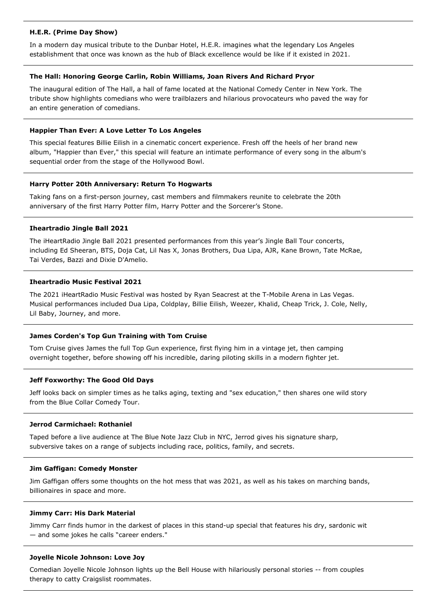# **H.E.R. (Prime Day Show)**

In a modern day musical tribute to the Dunbar Hotel, H.E.R. imagines what the legendary Los Angeles establishment that once was known as the hub of Black excellence would be like if it existed in 2021.

# **The Hall: Honoring George Carlin, Robin Williams, Joan Rivers And Richard Pryor**

The inaugural edition of The Hall, a hall of fame located at the National Comedy Center in New York. The tribute show highlights comedians who were trailblazers and hilarious provocateurs who paved the way for an entire generation of comedians.

### **Happier Than Ever: A Love Letter To Los Angeles**

This special features Billie Eilish in a cinematic concert experience. Fresh off the heels of her brand new album, "Happier than Ever," this special will feature an intimate performance of every song in the album's sequential order from the stage of the Hollywood Bowl.

# **Harry Potter 20th Anniversary: Return To Hogwarts**

Taking fans on a first-person journey, cast members and filmmakers reunite to celebrate the 20th anniversary of the first Harry Potter film, Harry Potter and the Sorcerer's Stone.

# **Iheartradio Jingle Ball 2021**

The iHeartRadio Jingle Ball 2021 presented performances from this year's Jingle Ball Tour concerts, including Ed Sheeran, BTS, Doja Cat, Lil Nas X, Jonas Brothers, Dua Lipa, AJR, Kane Brown, Tate McRae, Tai Verdes, Bazzi and Dixie D'Amelio.

# **Iheartradio Music Festival 2021**

The 2021 iHeartRadio Music Festival was hosted by Ryan Seacrest at the T-Mobile Arena in Las Vegas. Musical performances included Dua Lipa, Coldplay, Billie Eilish, Weezer, Khalid, Cheap Trick, J. Cole, Nelly, Lil Baby, Journey, and more.

# **James Corden's Top Gun Training with Tom Cruise**

Tom Cruise gives James the full Top Gun experience, first flying him in a vintage jet, then camping overnight together, before showing off his incredible, daring piloting skills in a modern fighter jet.

### **Jeff Foxworthy: The Good Old Days**

Jeff looks back on simpler times as he talks aging, texting and "sex education," then shares one wild story from the Blue Collar Comedy Tour.

### **Jerrod Carmichael: Rothaniel**

Taped before a live audience at The Blue Note Jazz Club in NYC, Jerrod gives his signature sharp, subversive takes on a range of subjects including race, politics, family, and secrets.

### **Jim Gaffigan: Comedy Monster**

Jim Gaffigan offers some thoughts on the hot mess that was 2021, as well as his takes on marching bands, billionaires in space and more.

### **Jimmy Carr: His Dark Material**

Jimmy Carr finds humor in the darkest of places in this stand-up special that features his dry, sardonic wit — and some jokes he calls "career enders."

### **Joyelle Nicole Johnson: Love Joy**

Comedian Joyelle Nicole Johnson lights up the Bell House with hilariously personal stories -- from couples therapy to catty Craigslist roommates.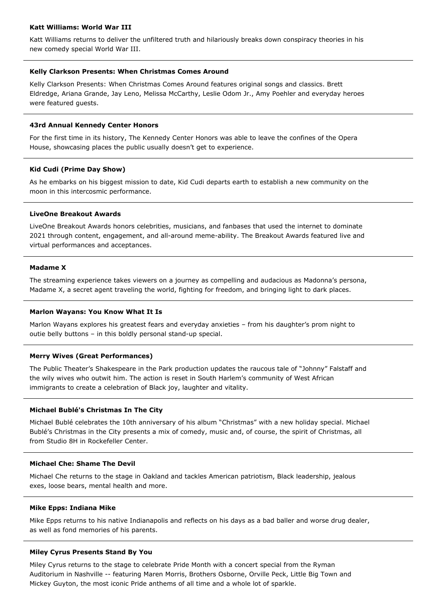# **Katt Williams: World War III**

Katt Williams returns to deliver the unfiltered truth and hilariously breaks down conspiracy theories in his new comedy special World War III.

### **Kelly Clarkson Presents: When Christmas Comes Around**

Kelly Clarkson Presents: When Christmas Comes Around features original songs and classics. Brett Eldredge, Ariana Grande, Jay Leno, Melissa McCarthy, Leslie Odom Jr., Amy Poehler and everyday heroes were featured guests.

### **43rd Annual Kennedy Center Honors**

For the first time in its history, The Kennedy Center Honors was able to leave the confines of the Opera House, showcasing places the public usually doesn't get to experience.

#### **Kid Cudi (Prime Day Show)**

As he embarks on his biggest mission to date, Kid Cudi departs earth to establish a new community on the moon in this intercosmic performance.

### **LiveOne Breakout Awards**

LiveOne Breakout Awards honors celebrities, musicians, and fanbases that used the internet to dominate 2021 through content, engagement, and all-around meme-ability. The Breakout Awards featured live and virtual performances and acceptances.

### **Madame X**

The streaming experience takes viewers on a journey as compelling and audacious as Madonna's persona, Madame X, a secret agent traveling the world, fighting for freedom, and bringing light to dark places.

#### **Marlon Wayans: You Know What It Is**

Marlon Wayans explores his greatest fears and everyday anxieties – from his daughter's prom night to outie belly buttons – in this boldly personal stand-up special.

### **Merry Wives (Great Performances)**

The Public Theater's Shakespeare in the Park production updates the raucous tale of "Johnny" Falstaff and the wily wives who outwit him. The action is reset in South Harlem's community of West African immigrants to create a celebration of Black joy, laughter and vitality.

### **Michael Bublé's Christmas In The City**

Michael Bublé celebrates the 10th anniversary of his album "Christmas" with a new holiday special. Michael Bublé's Christmas in the City presents a mix of comedy, music and, of course, the spirit of Christmas, all from Studio 8H in Rockefeller Center.

### **Michael Che: Shame The Devil**

Michael Che returns to the stage in Oakland and tackles American patriotism, Black leadership, jealous exes, loose bears, mental health and more.

### **Mike Epps: Indiana Mike**

Mike Epps returns to his native Indianapolis and reflects on his days as a bad baller and worse drug dealer, as well as fond memories of his parents.

#### **Miley Cyrus Presents Stand By You**

Miley Cyrus returns to the stage to celebrate Pride Month with a concert special from the Ryman Auditorium in Nashville -- featuring Maren Morris, Brothers Osborne, Orville Peck, Little Big Town and Mickey Guyton, the most iconic Pride anthems of all time and a whole lot of sparkle.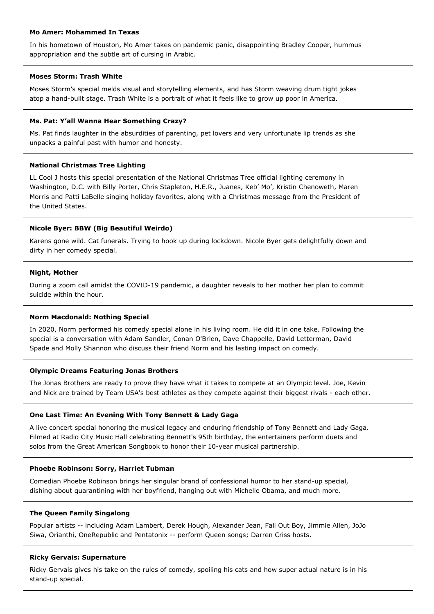### **Mo Amer: Mohammed In Texas**

In his hometown of Houston, Mo Amer takes on pandemic panic, disappointing Bradley Cooper, hummus appropriation and the subtle art of cursing in Arabic.

# **Moses Storm: Trash White**

Moses Storm's special melds visual and storytelling elements, and has Storm weaving drum tight jokes atop a hand-built stage. Trash White is a portrait of what it feels like to grow up poor in America.

### **Ms. Pat: Y'all Wanna Hear Something Crazy?**

Ms. Pat finds laughter in the absurdities of parenting, pet lovers and very unfortunate lip trends as she unpacks a painful past with humor and honesty.

### **National Christmas Tree Lighting**

LL Cool J hosts this special presentation of the National Christmas Tree official lighting ceremony in Washington, D.C. with Billy Porter, Chris Stapleton, H.E.R., Juanes, Keb' Mo', Kristin Chenoweth, Maren Morris and Patti LaBelle singing holiday favorites, along with a Christmas message from the President of the United States.

### **Nicole Byer: BBW (Big Beautiful Weirdo)**

Karens gone wild. Cat funerals. Trying to hook up during lockdown. Nicole Byer gets delightfully down and dirty in her comedy special.

#### **Night, Mother**

During a zoom call amidst the COVID-19 pandemic, a daughter reveals to her mother her plan to commit suicide within the hour.

### **Norm Macdonald: Nothing Special**

In 2020, Norm performed his comedy special alone in his living room. He did it in one take. Following the special is a conversation with Adam Sandler, Conan O'Brien, Dave Chappelle, David Letterman, David Spade and Molly Shannon who discuss their friend Norm and his lasting impact on comedy.

### **Olympic Dreams Featuring Jonas Brothers**

The Jonas Brothers are ready to prove they have what it takes to compete at an Olympic level. Joe, Kevin and Nick are trained by Team USA's best athletes as they compete against their biggest rivals - each other.

#### **One Last Time: An Evening With Tony Bennett & Lady Gaga**

A live concert special honoring the musical legacy and enduring friendship of Tony Bennett and Lady Gaga. Filmed at Radio City Music Hall celebrating Bennett's 95th birthday, the entertainers perform duets and solos from the Great American Songbook to honor their 10-year musical partnership.

### **Phoebe Robinson: Sorry, Harriet Tubman**

Comedian Phoebe Robinson brings her singular brand of confessional humor to her stand-up special, dishing about quarantining with her boyfriend, hanging out with Michelle Obama, and much more.

### **The Queen Family Singalong**

Popular artists -- including Adam Lambert, Derek Hough, Alexander Jean, Fall Out Boy, Jimmie Allen, JoJo Siwa, Orianthi, OneRepublic and Pentatonix -- perform Queen songs; Darren Criss hosts.

#### **Ricky Gervais: Supernature**

Ricky Gervais gives his take on the rules of comedy, spoiling his cats and how super actual nature is in his stand-up special.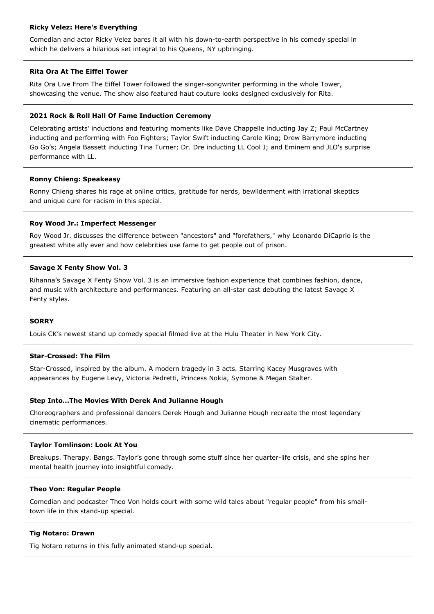### **Ricky Velez: Here's Everything**

Comedian and actor Ricky Velez bares it all with his down-to-earth perspective in his comedy special in which he delivers a hilarious set integral to his Queens, NY upbringing.

# **Rita Ora At The Eiffel Tower**

Rita Ora Live From The Eiffel Tower followed the singer-songwriter performing in the whole Tower, showcasing the venue. The show also featured haut couture looks designed exclusively for Rita.

# **2021 Rock & Roll Hall Of Fame Induction Ceremony**

Celebrating artists' inductions and featuring moments like Dave Chappelle inducting Jay Z; Paul McCartney inducting and performing with Foo Fighters; Taylor Swift inducting Carole King; Drew Barrymore inducting Go Go's; Angela Bassett inducting Tina Turner; Dr. Dre inducting LL Cool J; and Eminem and JLO's surprise performance with LL.

# **Ronny Chieng: Speakeasy**

Ronny Chieng shares his rage at online critics, gratitude for nerds, bewilderment with irrational skeptics and unique cure for racism in this special.

# **Roy Wood Jr.: Imperfect Messenger**

Roy Wood Jr. discusses the difference between "ancestors" and "forefathers," why Leonardo DiCaprio is the greatest white ally ever and how celebrities use fame to get people out of prison.

# **Savage X Fenty Show Vol. 3**

Rihanna's Savage X Fenty Show Vol. 3 is an immersive fashion experience that combines fashion, dance, and music with architecture and performances. Featuring an all-star cast debuting the latest Savage X Fenty styles.

### **SORRY**

Louis CK's newest stand up comedy special filmed live at the Hulu Theater in New York City.

# **Star-Crossed: The Film**

Star-Crossed, inspired by the album. A modern tragedy in 3 acts. Starring Kacey Musgraves with appearances by Eugene Levy, Victoria Pedretti, Princess Nokia, Symone & Megan Stalter.

### **Step Into…The Movies With Derek And Julianne Hough**

Choreographers and professional dancers Derek Hough and Julianne Hough recreate the most legendary cinematic performances.

### **Taylor Tomlinson: Look At You**

Breakups. Therapy. Bangs. Taylor's gone through some stuff since her quarter-life crisis, and she spins her mental health journey into insightful comedy.

### **Theo Von: Regular People**

Comedian and podcaster Theo Von holds court with some wild tales about "regular people" from his smalltown life in this stand-up special.

### **Tig Notaro: Drawn**

Tig Notaro returns in this fully animated stand-up special.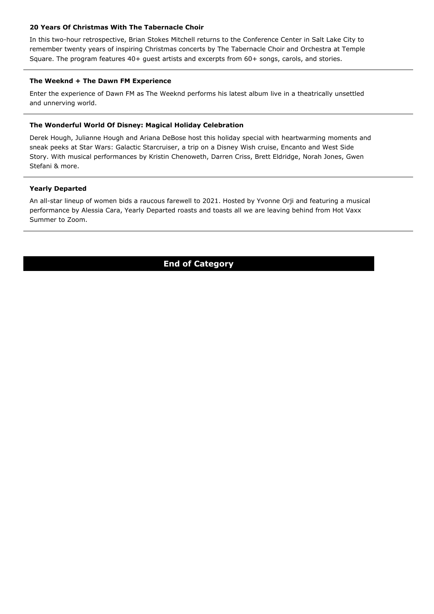# **20 Years Of Christmas With The Tabernacle Choir**

In this two-hour retrospective, Brian Stokes Mitchell returns to the Conference Center in Salt Lake City to remember twenty years of inspiring Christmas concerts by The Tabernacle Choir and Orchestra at Temple Square. The program features 40+ guest artists and excerpts from 60+ songs, carols, and stories.

# **The Weeknd + The Dawn FM Experience**

Enter the experience of Dawn FM as The Weeknd performs his latest album live in a theatrically unsettled and unnerving world.

# **The Wonderful World Of Disney: Magical Holiday Celebration**

Derek Hough, Julianne Hough and Ariana DeBose host this holiday special with heartwarming moments and sneak peeks at Star Wars: Galactic Starcruiser, a trip on a Disney Wish cruise, Encanto and West Side Story. With musical performances by Kristin Chenoweth, Darren Criss, Brett Eldridge, Norah Jones, Gwen Stefani & more.

# **Yearly Departed**

An all-star lineup of women bids a raucous farewell to 2021. Hosted by Yvonne Orji and featuring a musical performance by Alessia Cara, Yearly Departed roasts and toasts all we are leaving behind from Hot Vaxx Summer to Zoom.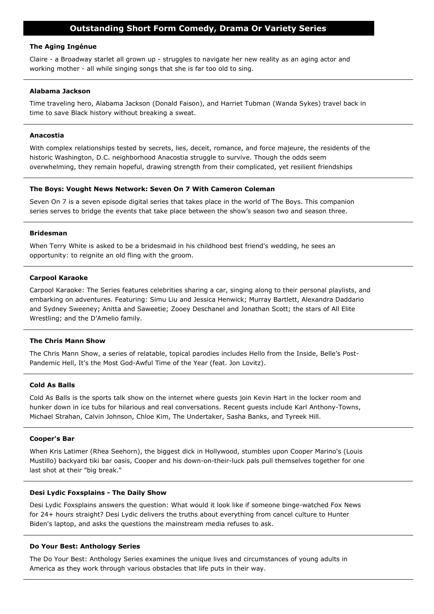# **Outstanding Short Form Comedy, Drama Or Variety Series**

### **The Aging Ingénue**

Claire - a Broadway starlet all grown up - struggles to navigate her new reality as an aging actor and working mother - all while singing songs that she is far too old to sing.

#### **Alabama Jackson**

Time traveling hero, Alabama Jackson (Donald Faison), and Harriet Tubman (Wanda Sykes) travel back in time to save Black history without breaking a sweat.

### **Anacostia**

With complex relationships tested by secrets, lies, deceit, romance, and force majeure, the residents of the historic Washington, D.C. neighborhood Anacostia struggle to survive. Though the odds seem overwhelming, they remain hopeful, drawing strength from their complicated, yet resilient friendships

### **The Boys: Vought News Network: Seven On 7 With Cameron Coleman**

Seven On 7 is a seven episode digital series that takes place in the world of The Boys. This companion series serves to bridge the events that take place between the show's season two and season three.

#### **Bridesman**

When Terry White is asked to be a bridesmaid in his childhood best friend's wedding, he sees an opportunity: to reignite an old fling with the groom.

#### **Carpool Karaoke**

Carpool Karaoke: The Series features celebrities sharing a car, singing along to their personal playlists, and embarking on adventures. Featuring: Simu Liu and Jessica Henwick; Murray Bartlett, Alexandra Daddario and Sydney Sweeney; Anitta and Saweetie; Zooey Deschanel and Jonathan Scott; the stars of All Elite Wrestling; and the D'Amelio family.

#### **The Chris Mann Show**

The Chris Mann Show, a series of relatable, topical parodies includes Hello from the Inside, Belle's Post-Pandemic Hell, It's the Most God-Awful Time of the Year (feat. Jon Lovitz).

### **Cold As Balls**

Cold As Balls is the sports talk show on the internet where guests join Kevin Hart in the locker room and hunker down in ice tubs for hilarious and real conversations. Recent guests include Karl Anthony-Towns, Michael Strahan, Calvin Johnson, Chloe Kim, The Undertaker, Sasha Banks, and Tyreek Hill.

#### **Cooper's Bar**

When Kris Latimer (Rhea Seehorn), the biggest dick in Hollywood, stumbles upon Cooper Marino's (Louis Mustillo) backyard tiki bar oasis, Cooper and his down-on-their-luck pals pull themselves together for one last shot at their "big break."

#### **Desi Lydic Foxsplains - The Daily Show**

Desi Lydic Foxsplains answers the question: What would it look like if someone binge-watched Fox News for 24+ hours straight? Desi Lydic delivers the truths about everything from cancel culture to Hunter Biden's laptop, and asks the questions the mainstream media refuses to ask.

# **Do Your Best: Anthology Series**

The Do Your Best: Anthology Series examines the unique lives and circumstances of young adults in America as they work through various obstacles that life puts in their way.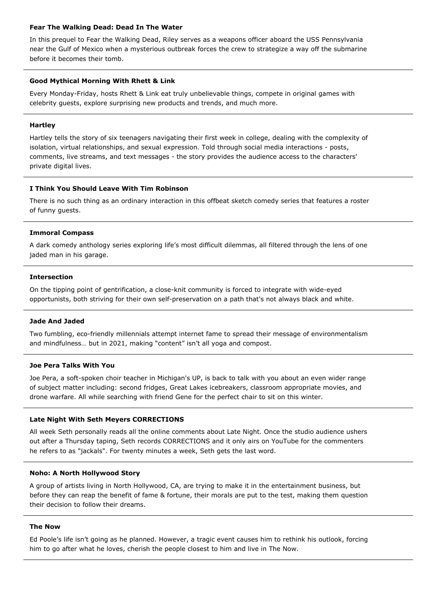# **Fear The Walking Dead: Dead In The Water**

In this prequel to Fear the Walking Dead, Riley serves as a weapons officer aboard the USS Pennsylvania near the Gulf of Mexico when a mysterious outbreak forces the crew to strategize a way off the submarine before it becomes their tomb.

# **Good Mythical Morning With Rhett & Link**

Every Monday-Friday, hosts Rhett & Link eat truly unbelievable things, compete in original games with celebrity guests, explore surprising new products and trends, and much more.

# **Hartley**

Hartley tells the story of six teenagers navigating their first week in college, dealing with the complexity of isolation, virtual relationships, and sexual expression. Told through social media interactions - posts, comments, live streams, and text messages - the story provides the audience access to the characters' private digital lives.

# **I Think You Should Leave With Tim Robinson**

There is no such thing as an ordinary interaction in this offbeat sketch comedy series that features a roster of funny guests.

# **Immoral Compass**

A dark comedy anthology series exploring life's most difficult dilemmas, all filtered through the lens of one jaded man in his garage.

# **Intersection**

On the tipping point of gentrification, a close-knit community is forced to integrate with wide-eyed opportunists, both striving for their own self-preservation on a path that's not always black and white.

### **Jade And Jaded**

Two fumbling, eco-friendly millennials attempt internet fame to spread their message of environmentalism and mindfulness… but in 2021, making "content" isn't all yoga and compost.

### **Joe Pera Talks With You**

Joe Pera, a soft-spoken choir teacher in Michigan's UP, is back to talk with you about an even wider range of subject matter including: second fridges, Great Lakes icebreakers, classroom appropriate movies, and drone warfare. All while searching with friend Gene for the perfect chair to sit on this winter.

# **Late Night With Seth Meyers CORRECTIONS**

All week Seth personally reads all the online comments about Late Night. Once the studio audience ushers out after a Thursday taping, Seth records CORRECTIONS and it only airs on YouTube for the commenters he refers to as "jackals". For twenty minutes a week, Seth gets the last word.

# **Noho: A North Hollywood Story**

A group of artists living in North Hollywood, CA, are trying to make it in the entertainment business, but before they can reap the benefit of fame & fortune, their morals are put to the test, making them question their decision to follow their dreams.

### **The Now**

Ed Poole's life isn't going as he planned. However, a tragic event causes him to rethink his outlook, forcing him to go after what he loves, cherish the people closest to him and live in The Now.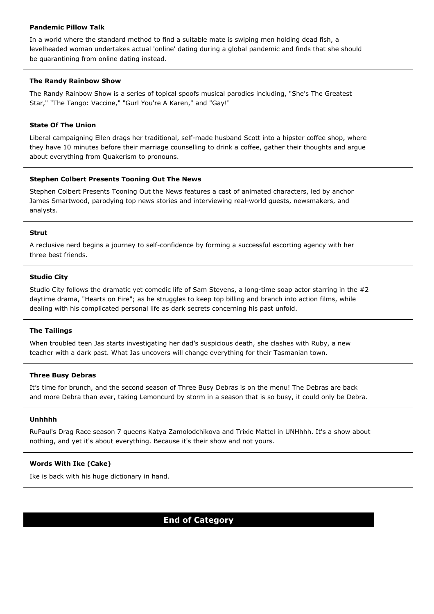# **Pandemic Pillow Talk**

In a world where the standard method to find a suitable mate is swiping men holding dead fish, a levelheaded woman undertakes actual 'online' dating during a global pandemic and finds that she should be quarantining from online dating instead.

# **The Randy Rainbow Show**

The Randy Rainbow Show is a series of topical spoofs musical parodies including, "She's The Greatest Star," "The Tango: Vaccine," "Gurl You're A Karen," and "Gay!"

### **State Of The Union**

Liberal campaigning Ellen drags her traditional, self-made husband Scott into a hipster coffee shop, where they have 10 minutes before their marriage counselling to drink a coffee, gather their thoughts and argue about everything from Quakerism to pronouns.

# **Stephen Colbert Presents Tooning Out The News**

Stephen Colbert Presents Tooning Out the News features a cast of animated characters, led by anchor James Smartwood, parodying top news stories and interviewing real-world guests, newsmakers, and analysts.

### **Strut**

A reclusive nerd begins a journey to self-confidence by forming a successful escorting agency with her three best friends.

# **Studio City**

Studio City follows the dramatic yet comedic life of Sam Stevens, a long-time soap actor starring in the #2 daytime drama, "Hearts on Fire"; as he struggles to keep top billing and branch into action films, while dealing with his complicated personal life as dark secrets concerning his past unfold.

# **The Tailings**

When troubled teen Jas starts investigating her dad's suspicious death, she clashes with Ruby, a new teacher with a dark past. What Jas uncovers will change everything for their Tasmanian town.

### **Three Busy Debras**

It's time for brunch, and the second season of Three Busy Debras is on the menu! The Debras are back and more Debra than ever, taking Lemoncurd by storm in a season that is so busy, it could only be Debra.

### **Unhhhh**

RuPaul's Drag Race season 7 queens Katya Zamolodchikova and Trixie Mattel in UNHhhh. It's a show about nothing, and yet it's about everything. Because it's their show and not yours.

# **Words With Ike (Cake)**

Ike is back with his huge dictionary in hand.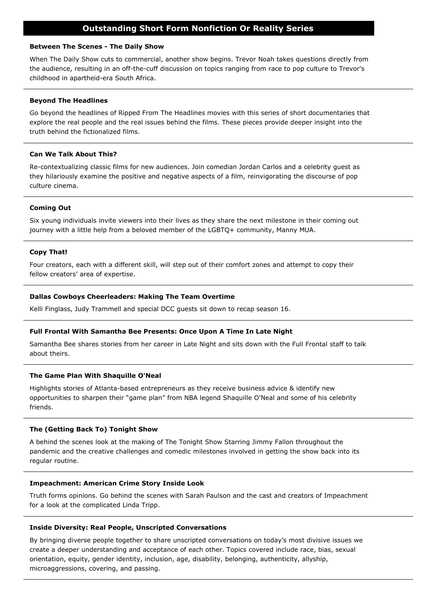# **Outstanding Short Form Nonfiction Or Reality Series**

### **Between The Scenes - The Daily Show**

When The Daily Show cuts to commercial, another show begins. Trevor Noah takes questions directly from the audience, resulting in an off-the-cuff discussion on topics ranging from race to pop culture to Trevor's childhood in apartheid-era South Africa.

# **Beyond The Headlines**

Go beyond the headlines of Ripped From The Headlines movies with this series of short documentaries that explore the real people and the real issues behind the films. These pieces provide deeper insight into the truth behind the fictionalized films.

# **Can We Talk About This?**

Re-contextualizing classic films for new audiences. Join comedian Jordan Carlos and a celebrity guest as they hilariously examine the positive and negative aspects of a film, reinvigorating the discourse of pop culture cinema.

# **Coming Out**

Six young individuals invite viewers into their lives as they share the next milestone in their coming out journey with a little help from a beloved member of the LGBTQ+ community, Manny MUA.

# **Copy That!**

Four creators, each with a different skill, will step out of their comfort zones and attempt to copy their fellow creators' area of expertise.

### **Dallas Cowboys Cheerleaders: Making The Team Overtime**

Kelli Finglass, Judy Trammell and special DCC guests sit down to recap season 16.

### **Full Frontal With Samantha Bee Presents: Once Upon A Time In Late Night**

Samantha Bee shares stories from her career in Late Night and sits down with the Full Frontal staff to talk about theirs.

# **The Game Plan With Shaquille O'Neal**

Highlights stories of Atlanta-based entrepreneurs as they receive business advice & identify new opportunities to sharpen their "game plan" from NBA legend Shaquille O'Neal and some of his celebrity friends.

### **The (Getting Back To) Tonight Show**

A behind the scenes look at the making of The Tonight Show Starring Jimmy Fallon throughout the pandemic and the creative challenges and comedic milestones involved in getting the show back into its regular routine.

### **Impeachment: American Crime Story Inside Look**

Truth forms opinions. Go behind the scenes with Sarah Paulson and the cast and creators of Impeachment for a look at the complicated Linda Tripp.

### **Inside Diversity: Real People, Unscripted Conversations**

By bringing diverse people together to share unscripted conversations on today's most divisive issues we create a deeper understanding and acceptance of each other. Topics covered include race, bias, sexual orientation, equity, gender identity, inclusion, age, disability, belonging, authenticity, allyship, microaggressions, covering, and passing.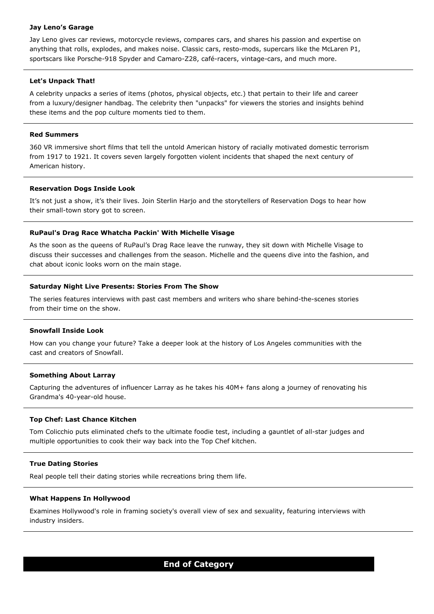### **Jay Leno's Garage**

Jay Leno gives car reviews, motorcycle reviews, compares cars, and shares his passion and expertise on anything that rolls, explodes, and makes noise. Classic cars, resto-mods, supercars like the McLaren P1, sportscars like Porsche-918 Spyder and Camaro-Z28, café-racers, vintage-cars, and much more.

# **Let's Unpack That!**

A celebrity unpacks a series of items (photos, physical objects, etc.) that pertain to their life and career from a luxury/designer handbag. The celebrity then "unpacks" for viewers the stories and insights behind these items and the pop culture moments tied to them.

### **Red Summers**

360 VR immersive short films that tell the untold American history of racially motivated domestic terrorism from 1917 to 1921. It covers seven largely forgotten violent incidents that shaped the next century of American history.

# **Reservation Dogs Inside Look**

It's not just a show, it's their lives. Join Sterlin Harjo and the storytellers of Reservation Dogs to hear how their small-town story got to screen.

# **RuPaul's Drag Race Whatcha Packin' With Michelle Visage**

As the soon as the queens of RuPaul's Drag Race leave the runway, they sit down with Michelle Visage to discuss their successes and challenges from the season. Michelle and the queens dive into the fashion, and chat about iconic looks worn on the main stage.

# **Saturday Night Live Presents: Stories From The Show**

The series features interviews with past cast members and writers who share behind-the-scenes stories from their time on the show.

### **Snowfall Inside Look**

How can you change your future? Take a deeper look at the history of Los Angeles communities with the cast and creators of Snowfall.

# **Something About Larray**

Capturing the adventures of influencer Larray as he takes his 40M+ fans along a journey of renovating his Grandma's 40-year-old house.

# **Top Chef: Last Chance Kitchen**

Tom Colicchio puts eliminated chefs to the ultimate foodie test, including a gauntlet of all-star judges and multiple opportunities to cook their way back into the Top Chef kitchen.

# **True Dating Stories**

Real people tell their dating stories while recreations bring them life.

# **What Happens In Hollywood**

Examines Hollywood's role in framing society's overall view of sex and sexuality, featuring interviews with industry insiders.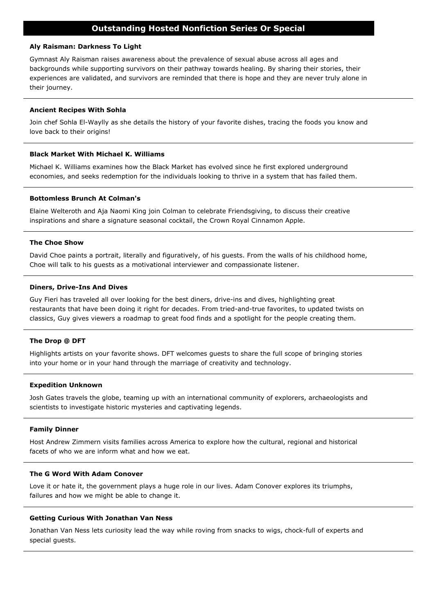# **Outstanding Hosted Nonfiction Series Or Special**

### **Aly Raisman: Darkness To Light**

Gymnast Aly Raisman raises awareness about the prevalence of sexual abuse across all ages and backgrounds while supporting survivors on their pathway towards healing. By sharing their stories, their experiences are validated, and survivors are reminded that there is hope and they are never truly alone in their journey.

### **Ancient Recipes With Sohla**

Join chef Sohla El-Waylly as she details the history of your favorite dishes, tracing the foods you know and love back to their origins!

### **Black Market With Michael K. Williams**

Michael K. Williams examines how the Black Market has evolved since he first explored underground economies, and seeks redemption for the individuals looking to thrive in a system that has failed them.

### **Bottomless Brunch At Colman's**

Elaine Welteroth and Aja Naomi King join Colman to celebrate Friendsgiving, to discuss their creative inspirations and share a signature seasonal cocktail, the Crown Royal Cinnamon Apple.

### **The Choe Show**

David Choe paints a portrait, literally and figuratively, of his guests. From the walls of his childhood home, Choe will talk to his guests as a motivational interviewer and compassionate listener.

### **Diners, Drive-Ins And Dives**

Guy Fieri has traveled all over looking for the best diners, drive-ins and dives, highlighting great restaurants that have been doing it right for decades. From tried-and-true favorites, to updated twists on classics, Guy gives viewers a roadmap to great food finds and a spotlight for the people creating them.

### **The Drop @ DFT**

Highlights artists on your favorite shows. DFT welcomes guests to share the full scope of bringing stories into your home or in your hand through the marriage of creativity and technology.

#### **Expedition Unknown**

Josh Gates travels the globe, teaming up with an international community of explorers, archaeologists and scientists to investigate historic mysteries and captivating legends.

### **Family Dinner**

Host Andrew Zimmern visits families across America to explore how the cultural, regional and historical facets of who we are inform what and how we eat.

# **The G Word With Adam Conover**

Love it or hate it, the government plays a huge role in our lives. Adam Conover explores its triumphs, failures and how we might be able to change it.

# **Getting Curious With Jonathan Van Ness**

Jonathan Van Ness lets curiosity lead the way while roving from snacks to wigs, chock-full of experts and special guests.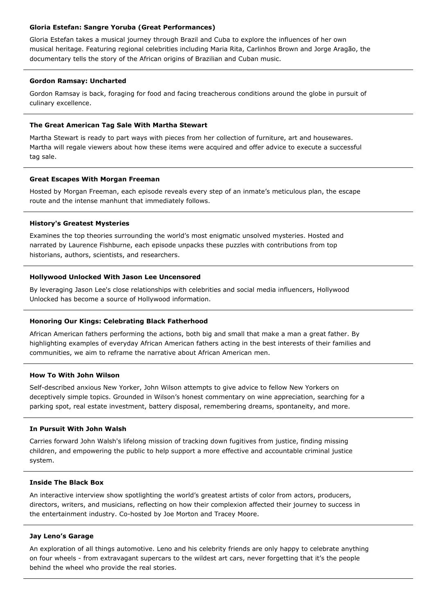# **Gloria Estefan: Sangre Yoruba (Great Performances)**

Gloria Estefan takes a musical journey through Brazil and Cuba to explore the influences of her own musical heritage. Featuring regional celebrities including Maria Rita, Carlinhos Brown and Jorge Aragão, the documentary tells the story of the African origins of Brazilian and Cuban music.

# **Gordon Ramsay: Uncharted**

Gordon Ramsay is back, foraging for food and facing treacherous conditions around the globe in pursuit of culinary excellence.

### **The Great American Tag Sale With Martha Stewart**

Martha Stewart is ready to part ways with pieces from her collection of furniture, art and housewares. Martha will regale viewers about how these items were acquired and offer advice to execute a successful tag sale.

### **Great Escapes With Morgan Freeman**

Hosted by Morgan Freeman, each episode reveals every step of an inmate's meticulous plan, the escape route and the intense manhunt that immediately follows.

# **History's Greatest Mysteries**

Examines the top theories surrounding the world's most enigmatic unsolved mysteries. Hosted and narrated by Laurence Fishburne, each episode unpacks these puzzles with contributions from top historians, authors, scientists, and researchers.

# **Hollywood Unlocked With Jason Lee Uncensored**

By leveraging Jason Lee's close relationships with celebrities and social media influencers, Hollywood Unlocked has become a source of Hollywood information.

# **Honoring Our Kings: Celebrating Black Fatherhood**

African American fathers performing the actions, both big and small that make a man a great father. By highlighting examples of everyday African American fathers acting in the best interests of their families and communities, we aim to reframe the narrative about African American men.

# **How To With John Wilson**

Self-described anxious New Yorker, John Wilson attempts to give advice to fellow New Yorkers on deceptively simple topics. Grounded in Wilson's honest commentary on wine appreciation, searching for a parking spot, real estate investment, battery disposal, remembering dreams, spontaneity, and more.

# **In Pursuit With John Walsh**

Carries forward John Walsh's lifelong mission of tracking down fugitives from justice, finding missing children, and empowering the public to help support a more effective and accountable criminal justice system.

# **Inside The Black Box**

An interactive interview show spotlighting the world's greatest artists of color from actors, producers, directors, writers, and musicians, reflecting on how their complexion affected their journey to success in the entertainment industry. Co-hosted by Joe Morton and Tracey Moore.

# **Jay Leno's Garage**

An exploration of all things automotive. Leno and his celebrity friends are only happy to celebrate anything on four wheels - from extravagant supercars to the wildest art cars, never forgetting that it's the people behind the wheel who provide the real stories.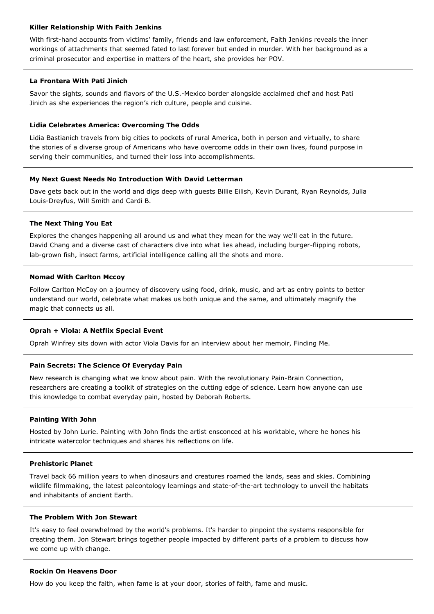### **Killer Relationship With Faith Jenkins**

With first-hand accounts from victims' family, friends and law enforcement, Faith Jenkins reveals the inner workings of attachments that seemed fated to last forever but ended in murder. With her background as a criminal prosecutor and expertise in matters of the heart, she provides her POV.

# **La Frontera With Pati Jinich**

Savor the sights, sounds and flavors of the U.S.-Mexico border alongside acclaimed chef and host Pati Jinich as she experiences the region's rich culture, people and cuisine.

# **Lidia Celebrates America: Overcoming The Odds**

Lidia Bastianich travels from big cities to pockets of rural America, both in person and virtually, to share the stories of a diverse group of Americans who have overcome odds in their own lives, found purpose in serving their communities, and turned their loss into accomplishments.

# **My Next Guest Needs No Introduction With David Letterman**

Dave gets back out in the world and digs deep with guests Billie Eilish, Kevin Durant, Ryan Reynolds, Julia Louis-Dreyfus, Will Smith and Cardi B.

# **The Next Thing You Eat**

Explores the changes happening all around us and what they mean for the way we'll eat in the future. David Chang and a diverse cast of characters dive into what lies ahead, including burger-flipping robots, lab-grown fish, insect farms, artificial intelligence calling all the shots and more.

# **Nomad With Carlton Mccoy**

Follow Carlton McCoy on a journey of discovery using food, drink, music, and art as entry points to better understand our world, celebrate what makes us both unique and the same, and ultimately magnify the magic that connects us all.

# **Oprah + Viola: A Netflix Special Event**

Oprah Winfrey sits down with actor Viola Davis for an interview about her memoir, Finding Me.

# **Pain Secrets: The Science Of Everyday Pain**

New research is changing what we know about pain. With the revolutionary Pain-Brain Connection, researchers are creating a toolkit of strategies on the cutting edge of science. Learn how anyone can use this knowledge to combat everyday pain, hosted by Deborah Roberts.

### **Painting With John**

Hosted by John Lurie. Painting with John finds the artist ensconced at his worktable, where he hones his intricate watercolor techniques and shares his reflections on life.

### **Prehistoric Planet**

Travel back 66 million years to when dinosaurs and creatures roamed the lands, seas and skies. Combining wildlife filmmaking, the latest paleontology learnings and state-of-the-art technology to unveil the habitats and inhabitants of ancient Earth.

### **The Problem With Jon Stewart**

It's easy to feel overwhelmed by the world's problems. It's harder to pinpoint the systems responsible for creating them. Jon Stewart brings together people impacted by different parts of a problem to discuss how we come up with change.

### **Rockin On Heavens Door**

How do you keep the faith, when fame is at your door, stories of faith, fame and music.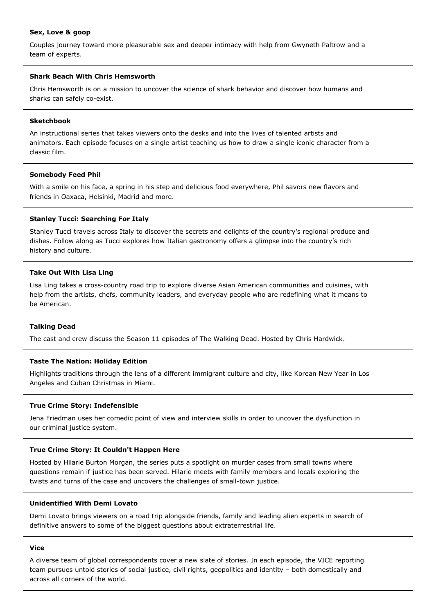### **Sex, Love & goop**

Couples journey toward more pleasurable sex and deeper intimacy with help from Gwyneth Paltrow and a team of experts.

# **Shark Beach With Chris Hemsworth**

Chris Hemsworth is on a mission to uncover the science of shark behavior and discover how humans and sharks can safely co-exist.

### **Sketchbook**

An instructional series that takes viewers onto the desks and into the lives of talented artists and animators. Each episode focuses on a single artist teaching us how to draw a single iconic character from a classic film.

### **Somebody Feed Phil**

With a smile on his face, a spring in his step and delicious food everywhere, Phil savors new flavors and friends in Oaxaca, Helsinki, Madrid and more.

### **Stanley Tucci: Searching For Italy**

Stanley Tucci travels across Italy to discover the secrets and delights of the country's regional produce and dishes. Follow along as Tucci explores how Italian gastronomy offers a glimpse into the country's rich history and culture.

### **Take Out With Lisa Ling**

Lisa Ling takes a cross-country road trip to explore diverse Asian American communities and cuisines, with help from the artists, chefs, community leaders, and everyday people who are redefining what it means to be American.

### **Talking Dead**

The cast and crew discuss the Season 11 episodes of The Walking Dead. Hosted by Chris Hardwick.

#### **Taste The Nation: Holiday Edition**

Highlights traditions through the lens of a different immigrant culture and city, like Korean New Year in Los Angeles and Cuban Christmas in Miami.

### **True Crime Story: Indefensible**

Jena Friedman uses her comedic point of view and interview skills in order to uncover the dysfunction in our criminal justice system.

### **True Crime Story: It Couldn't Happen Here**

Hosted by Hilarie Burton Morgan, the series puts a spotlight on murder cases from small towns where questions remain if justice has been served. Hilarie meets with family members and locals exploring the twists and turns of the case and uncovers the challenges of small-town justice.

### **Unidentified With Demi Lovato**

Demi Lovato brings viewers on a road trip alongside friends, family and leading alien experts in search of definitive answers to some of the biggest questions about extraterrestrial life.

#### **Vice**

A diverse team of global correspondents cover a new slate of stories. In each episode, the VICE reporting team pursues untold stories of social justice, civil rights, geopolitics and identity – both domestically and across all corners of the world.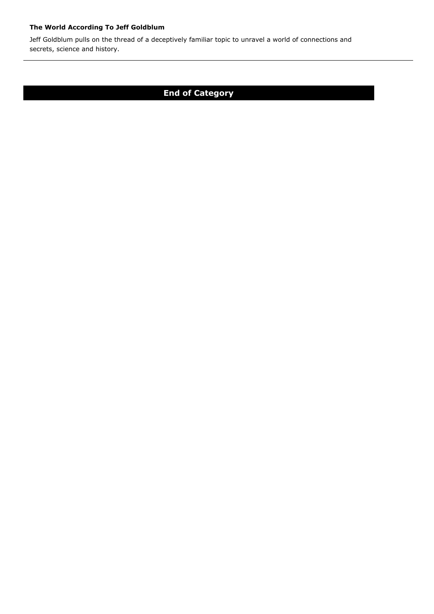# **The World According To Jeff Goldblum**

Jeff Goldblum pulls on the thread of a deceptively familiar topic to unravel a world of connections and secrets, science and history.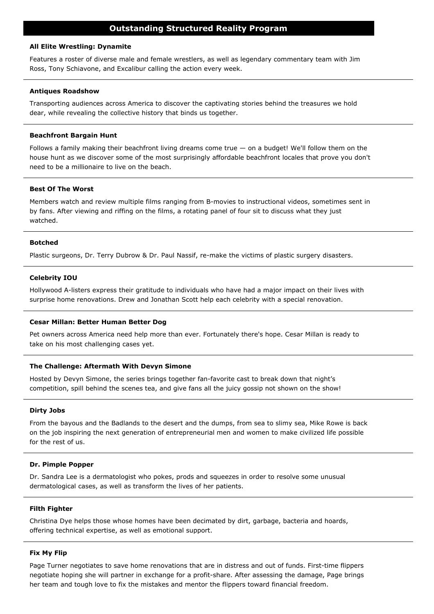### **All Elite Wrestling: Dynamite**

Features a roster of diverse male and female wrestlers, as well as legendary commentary team with Jim Ross, Tony Schiavone, and Excalibur calling the action every week.

### **Antiques Roadshow**

Transporting audiences across America to discover the captivating stories behind the treasures we hold dear, while revealing the collective history that binds us together.

### **Beachfront Bargain Hunt**

Follows a family making their beachfront living dreams come true — on a budget! We'll follow them on the house hunt as we discover some of the most surprisingly affordable beachfront locales that prove you don't need to be a millionaire to live on the beach.

### **Best Of The Worst**

Members watch and review multiple films ranging from B-movies to instructional videos, sometimes sent in by fans. After viewing and riffing on the films, a rotating panel of four sit to discuss what they just watched.

### **Botched**

Plastic surgeons, Dr. Terry Dubrow & Dr. Paul Nassif, re-make the victims of plastic surgery disasters.

### **Celebrity IOU**

Hollywood A-listers express their gratitude to individuals who have had a major impact on their lives with surprise home renovations. Drew and Jonathan Scott help each celebrity with a special renovation.

### **Cesar Millan: Better Human Better Dog**

Pet owners across America need help more than ever. Fortunately there's hope. Cesar Millan is ready to take on his most challenging cases yet.

#### **The Challenge: Aftermath With Devyn Simone**

Hosted by Devyn Simone, the series brings together fan-favorite cast to break down that night's competition, spill behind the scenes tea, and give fans all the juicy gossip not shown on the show!

#### **Dirty Jobs**

From the bayous and the Badlands to the desert and the dumps, from sea to slimy sea, Mike Rowe is back on the job inspiring the next generation of entrepreneurial men and women to make civilized life possible for the rest of us.

#### **Dr. Pimple Popper**

Dr. Sandra Lee is a dermatologist who pokes, prods and squeezes in order to resolve some unusual dermatological cases, as well as transform the lives of her patients.

# **Filth Fighter**

Christina Dye helps those whose homes have been decimated by dirt, garbage, bacteria and hoards, offering technical expertise, as well as emotional support.

# **Fix My Flip**

Page Turner negotiates to save home renovations that are in distress and out of funds. First-time flippers negotiate hoping she will partner in exchange for a profit-share. After assessing the damage, Page brings her team and tough love to fix the mistakes and mentor the flippers toward financial freedom.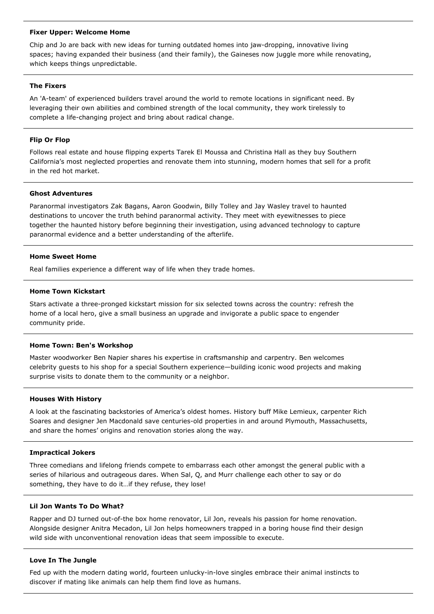### **Fixer Upper: Welcome Home**

Chip and Jo are back with new ideas for turning outdated homes into jaw-dropping, innovative living spaces; having expanded their business (and their family), the Gaineses now juggle more while renovating, which keeps things unpredictable.

### **The Fixers**

An 'A-team' of experienced builders travel around the world to remote locations in significant need. By leveraging their own abilities and combined strength of the local community, they work tirelessly to complete a life-changing project and bring about radical change.

# **Flip Or Flop**

Follows real estate and house flipping experts Tarek El Moussa and Christina Hall as they buy Southern California's most neglected properties and renovate them into stunning, modern homes that sell for a profit in the red hot market.

### **Ghost Adventures**

Paranormal investigators Zak Bagans, Aaron Goodwin, Billy Tolley and Jay Wasley travel to haunted destinations to uncover the truth behind paranormal activity. They meet with eyewitnesses to piece together the haunted history before beginning their investigation, using advanced technology to capture paranormal evidence and a better understanding of the afterlife.

### **Home Sweet Home**

Real families experience a different way of life when they trade homes.

#### **Home Town Kickstart**

Stars activate a three-pronged kickstart mission for six selected towns across the country: refresh the home of a local hero, give a small business an upgrade and invigorate a public space to engender community pride.

#### **Home Town: Ben's Workshop**

Master woodworker Ben Napier shares his expertise in craftsmanship and carpentry. Ben welcomes celebrity guests to his shop for a special Southern experience—building iconic wood projects and making surprise visits to donate them to the community or a neighbor.

#### **Houses With History**

A look at the fascinating backstories of America's oldest homes. History buff Mike Lemieux, carpenter Rich Soares and designer Jen Macdonald save centuries-old properties in and around Plymouth, Massachusetts, and share the homes' origins and renovation stories along the way.

# **Impractical Jokers**

Three comedians and lifelong friends compete to embarrass each other amongst the general public with a series of hilarious and outrageous dares. When Sal, Q, and Murr challenge each other to say or do something, they have to do it…if they refuse, they lose!

# **Lil Jon Wants To Do What?**

Rapper and DJ turned out-of-the box home renovator, Lil Jon, reveals his passion for home renovation. Alongside designer Anitra Mecadon, Lil Jon helps homeowners trapped in a boring house find their design wild side with unconventional renovation ideas that seem impossible to execute.

#### **Love In The Jungle**

Fed up with the modern dating world, fourteen unlucky-in-love singles embrace their animal instincts to discover if mating like animals can help them find love as humans.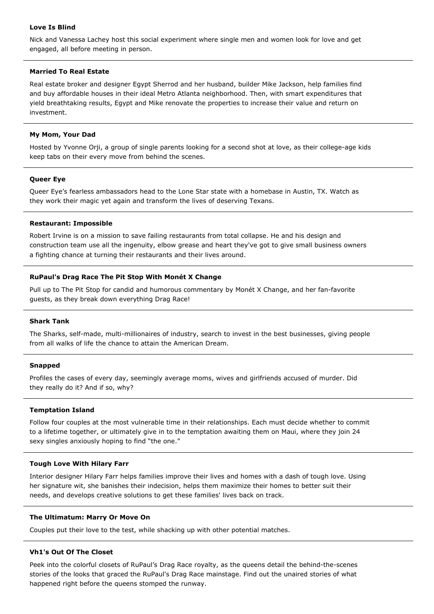# **Love Is Blind**

Nick and Vanessa Lachey host this social experiment where single men and women look for love and get engaged, all before meeting in person.

### **Married To Real Estate**

Real estate broker and designer Egypt Sherrod and her husband, builder Mike Jackson, help families find and buy affordable houses in their ideal Metro Atlanta neighborhood. Then, with smart expenditures that yield breathtaking results, Egypt and Mike renovate the properties to increase their value and return on investment.

# **My Mom, Your Dad**

Hosted by Yvonne Orji, a group of single parents looking for a second shot at love, as their college-age kids keep tabs on their every move from behind the scenes.

# **Queer Eye**

Queer Eye's fearless ambassadors head to the Lone Star state with a homebase in Austin, TX. Watch as they work their magic yet again and transform the lives of deserving Texans.

# **Restaurant: Impossible**

Robert Irvine is on a mission to save failing restaurants from total collapse. He and his design and construction team use all the ingenuity, elbow grease and heart they've got to give small business owners a fighting chance at turning their restaurants and their lives around.

# **RuPaul's Drag Race The Pit Stop With Monét X Change**

Pull up to The Pit Stop for candid and humorous commentary by Monét X Change, and her fan-favorite guests, as they break down everything Drag Race!

### **Shark Tank**

The Sharks, self-made, multi-millionaires of industry, search to invest in the best businesses, giving people from all walks of life the chance to attain the American Dream.

### **Snapped**

Profiles the cases of every day, seemingly average moms, wives and girlfriends accused of murder. Did they really do it? And if so, why?

# **Temptation Island**

Follow four couples at the most vulnerable time in their relationships. Each must decide whether to commit to a lifetime together, or ultimately give in to the temptation awaiting them on Maui, where they join 24 sexy singles anxiously hoping to find "the one."

### **Tough Love With Hilary Farr**

Interior designer Hilary Farr helps families improve their lives and homes with a dash of tough love. Using her signature wit, she banishes their indecision, helps them maximize their homes to better suit their needs, and develops creative solutions to get these families' lives back on track.

### **The Ultimatum: Marry Or Move On**

Couples put their love to the test, while shacking up with other potential matches.

### **Vh1's Out Of The Closet**

Peek into the colorful closets of RuPaul's Drag Race royalty, as the queens detail the behind-the-scenes stories of the looks that graced the RuPaul's Drag Race mainstage. Find out the unaired stories of what happened right before the queens stomped the runway.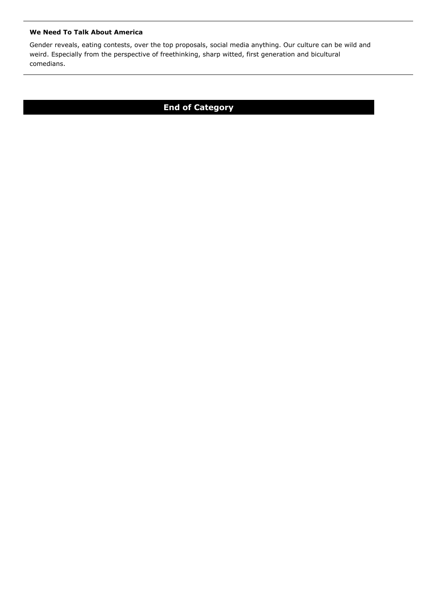# **We Need To Talk About America**

Gender reveals, eating contests, over the top proposals, social media anything. Our culture can be wild and weird. Especially from the perspective of freethinking, sharp witted, first generation and bicultural comedians.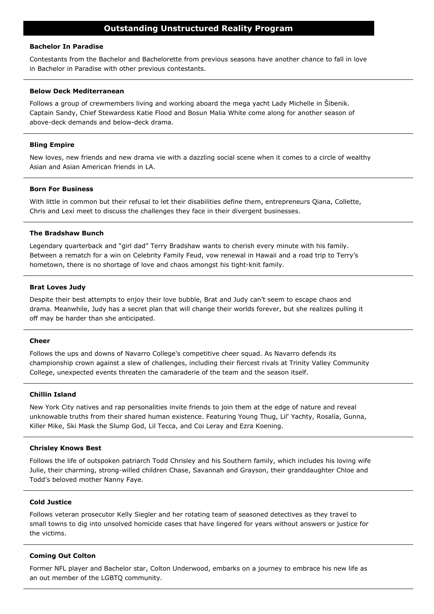### **Bachelor In Paradise**

Contestants from the Bachelor and Bachelorette from previous seasons have another chance to fall in love in Bachelor in Paradise with other previous contestants.

### **Below Deck Mediterranean**

Follows a group of crewmembers living and working aboard the mega yacht Lady Michelle in Šibenik. Captain Sandy, Chief Stewardess Katie Flood and Bosun Malia White come along for another season of above-deck demands and below-deck drama.

### **Bling Empire**

New loves, new friends and new drama vie with a dazzling social scene when it comes to a circle of wealthy Asian and Asian American friends in LA.

### **Born For Business**

With little in common but their refusal to let their disabilities define them, entrepreneurs Qiana, Collette, Chris and Lexi meet to discuss the challenges they face in their divergent businesses.

### **The Bradshaw Bunch**

Legendary quarterback and "girl dad" Terry Bradshaw wants to cherish every minute with his family. Between a rematch for a win on Celebrity Family Feud, vow renewal in Hawaii and a road trip to Terry's hometown, there is no shortage of love and chaos amongst his tight-knit family.

# **Brat Loves Judy**

Despite their best attempts to enjoy their love bubble, Brat and Judy can't seem to escape chaos and drama. Meanwhile, Judy has a secret plan that will change their worlds forever, but she realizes pulling it off may be harder than she anticipated.

#### **Cheer**

Follows the ups and downs of Navarro College's competitive cheer squad. As Navarro defends its championship crown against a slew of challenges, including their fiercest rivals at Trinity Valley Community College, unexpected events threaten the camaraderie of the team and the season itself.

### **Chillin Island**

New York City natives and rap personalities invite friends to join them at the edge of nature and reveal unknowable truths from their shared human existence. Featuring Young Thug, Lil' Yachty, Rosalía, Gunna, Killer Mike, Ski Mask the Slump God, Lil Tecca, and Coi Leray and Ezra Koening.

### **Chrisley Knows Best**

Follows the life of outspoken patriarch Todd Chrisley and his Southern family, which includes his loving wife Julie, their charming, strong-willed children Chase, Savannah and Grayson, their granddaughter Chloe and Todd's beloved mother Nanny Faye.

### **Cold Justice**

Follows veteran prosecutor Kelly Siegler and her rotating team of seasoned detectives as they travel to small towns to dig into unsolved homicide cases that have lingered for years without answers or justice for the victims.

### **Coming Out Colton**

Former NFL player and Bachelor star, Colton Underwood, embarks on a journey to embrace his new life as an out member of the LGBTQ community.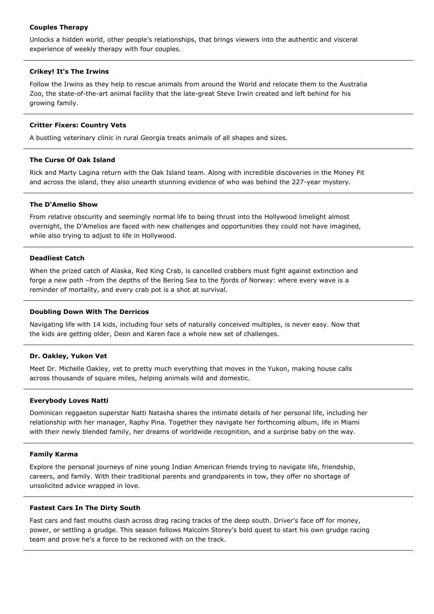# **Couples Therapy**

Unlocks a hidden world, other people's relationships, that brings viewers into the authentic and visceral experience of weekly therapy with four couples.

# **Crikey! It's The Irwins**

Follow the Irwins as they help to rescue animals from around the World and relocate them to the Australia Zoo, the state-of-the-art animal facility that the late-great Steve Irwin created and left behind for his growing family.

### **Critter Fixers: Country Vets**

A bustling veterinary clinic in rural Georgia treats animals of all shapes and sizes.

### **The Curse Of Oak Island**

Rick and Marty Lagina return with the Oak Island team. Along with incredible discoveries in the Money Pit and across the island, they also unearth stunning evidence of who was behind the 227-year mystery.

### **The D'Amelio Show**

From relative obscurity and seemingly normal life to being thrust into the Hollywood limelight almost overnight, the D'Amelios are faced with new challenges and opportunities they could not have imagined, while also trying to adjust to life in Hollywood.

# **Deadliest Catch**

When the prized catch of Alaska, Red King Crab, is cancelled crabbers must fight against extinction and forge a new path –from the depths of the Bering Sea to the fjords of Norway: where every wave is a reminder of mortality, and every crab pot is a shot at survival.

### **Doubling Down With The Derricos**

Navigating life with 14 kids, including four sets of naturally conceived multiples, is never easy. Now that the kids are getting older, Deon and Karen face a whole new set of challenges.

# **Dr. Oakley, Yukon Vet**

Meet Dr. Michelle Oakley, vet to pretty much everything that moves in the Yukon, making house calls across thousands of square miles, helping animals wild and domestic.

### **Everybody Loves Natti**

Dominican reggaeton superstar Natti Natasha shares the intimate details of her personal life, including her relationship with her manager, Raphy Pina. Together they navigate her forthcoming album, life in Miami with their newly blended family, her dreams of worldwide recognition, and a surprise baby on the way.

### **Family Karma**

Explore the personal journeys of nine young Indian American friends trying to navigate life, friendship, careers, and family. With their traditional parents and grandparents in tow, they offer no shortage of unsolicited advice wrapped in love.

### **Fastest Cars In The Dirty South**

Fast cars and fast mouths clash across drag racing tracks of the deep south. Driver's face off for money, power, or settling a grudge. This season follows Malcolm Storey's bold quest to start his own grudge racing team and prove he's a force to be reckoned with on the track.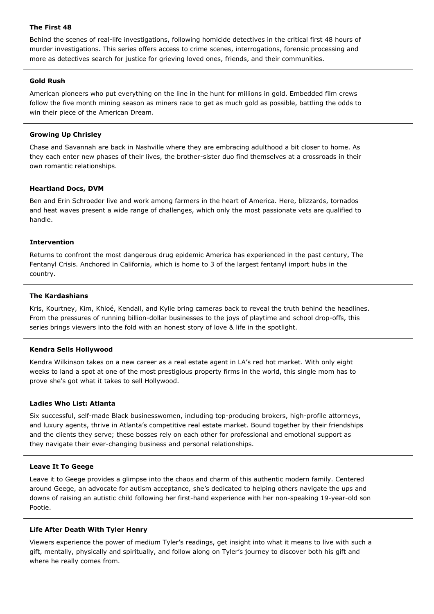# **The First 48**

Behind the scenes of real-life investigations, following homicide detectives in the critical first 48 hours of murder investigations. This series offers access to crime scenes, interrogations, forensic processing and more as detectives search for justice for grieving loved ones, friends, and their communities.

# **Gold Rush**

American pioneers who put everything on the line in the hunt for millions in gold. Embedded film crews follow the five month mining season as miners race to get as much gold as possible, battling the odds to win their piece of the American Dream.

# **Growing Up Chrisley**

Chase and Savannah are back in Nashville where they are embracing adulthood a bit closer to home. As they each enter new phases of their lives, the brother-sister duo find themselves at a crossroads in their own romantic relationships.

### **Heartland Docs, DVM**

Ben and Erin Schroeder live and work among farmers in the heart of America. Here, blizzards, tornados and heat waves present a wide range of challenges, which only the most passionate vets are qualified to handle.

# **Intervention**

Returns to confront the most dangerous drug epidemic America has experienced in the past century, The Fentanyl Crisis. Anchored in California, which is home to 3 of the largest fentanyl import hubs in the country.

### **The Kardashians**

Kris, Kourtney, Kim, Khloé, Kendall, and Kylie bring cameras back to reveal the truth behind the headlines. From the pressures of running billion-dollar businesses to the joys of playtime and school drop-offs, this series brings viewers into the fold with an honest story of love & life in the spotlight.

### **Kendra Sells Hollywood**

Kendra Wilkinson takes on a new career as a real estate agent in LA's red hot market. With only eight weeks to land a spot at one of the most prestigious property firms in the world, this single mom has to prove she's got what it takes to sell Hollywood.

### **Ladies Who List: Atlanta**

Six successful, self-made Black businesswomen, including top-producing brokers, high-profile attorneys, and luxury agents, thrive in Atlanta's competitive real estate market. Bound together by their friendships and the clients they serve; these bosses rely on each other for professional and emotional support as they navigate their ever-changing business and personal relationships.

### **Leave It To Geege**

Leave it to Geege provides a glimpse into the chaos and charm of this authentic modern family. Centered around Geege, an advocate for autism acceptance, she's dedicated to helping others navigate the ups and downs of raising an autistic child following her first-hand experience with her non-speaking 19-year-old son Pootie.

### **Life After Death With Tyler Henry**

Viewers experience the power of medium Tyler's readings, get insight into what it means to live with such a gift, mentally, physically and spiritually, and follow along on Tyler's journey to discover both his gift and where he really comes from.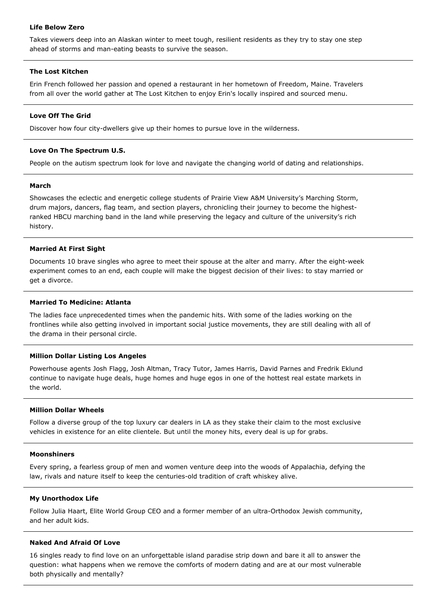# **Life Below Zero**

Takes viewers deep into an Alaskan winter to meet tough, resilient residents as they try to stay one step ahead of storms and man-eating beasts to survive the season.

### **The Lost Kitchen**

Erin French followed her passion and opened a restaurant in her hometown of Freedom, Maine. Travelers from all over the world gather at The Lost Kitchen to enjoy Erin's locally inspired and sourced menu.

# **Love Off The Grid**

Discover how four city-dwellers give up their homes to pursue love in the wilderness.

# **Love On The Spectrum U.S.**

People on the autism spectrum look for love and navigate the changing world of dating and relationships.

### **March**

Showcases the eclectic and energetic college students of Prairie View A&M University's Marching Storm, drum majors, dancers, flag team, and section players, chronicling their journey to become the highestranked HBCU marching band in the land while preserving the legacy and culture of the university's rich history.

# **Married At First Sight**

Documents 10 brave singles who agree to meet their spouse at the alter and marry. After the eight-week experiment comes to an end, each couple will make the biggest decision of their lives: to stay married or get a divorce.

# **Married To Medicine: Atlanta**

The ladies face unprecedented times when the pandemic hits. With some of the ladies working on the frontlines while also getting involved in important social justice movements, they are still dealing with all of the drama in their personal circle.

# **Million Dollar Listing Los Angeles**

Powerhouse agents Josh Flagg, Josh Altman, Tracy Tutor, James Harris, David Parnes and Fredrik Eklund continue to navigate huge deals, huge homes and huge egos in one of the hottest real estate markets in the world.

### **Million Dollar Wheels**

Follow a diverse group of the top luxury car dealers in LA as they stake their claim to the most exclusive vehicles in existence for an elite clientele. But until the money hits, every deal is up for grabs.

### **Moonshiners**

Every spring, a fearless group of men and women venture deep into the woods of Appalachia, defying the law, rivals and nature itself to keep the centuries-old tradition of craft whiskey alive.

### **My Unorthodox Life**

Follow Julia Haart, Elite World Group CEO and a former member of an ultra-Orthodox Jewish community, and her adult kids.

### **Naked And Afraid Of Love**

16 singles ready to find love on an unforgettable island paradise strip down and bare it all to answer the question: what happens when we remove the comforts of modern dating and are at our most vulnerable both physically and mentally?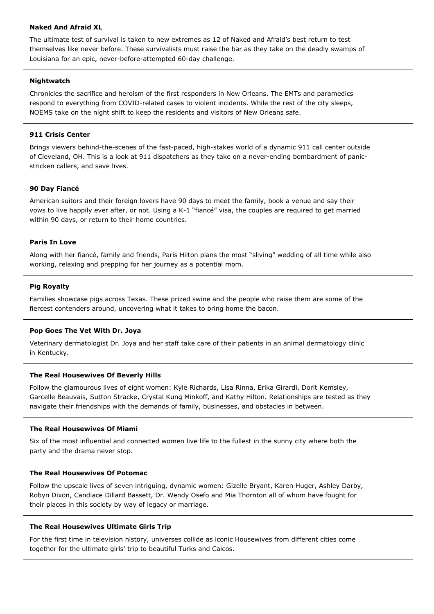# **Naked And Afraid XL**

The ultimate test of survival is taken to new extremes as 12 of Naked and Afraid's best return to test themselves like never before. These survivalists must raise the bar as they take on the deadly swamps of Louisiana for an epic, never-before-attempted 60-day challenge.

# **Nightwatch**

Chronicles the sacrifice and heroism of the first responders in New Orleans. The EMTs and paramedics respond to everything from COVID-related cases to violent incidents. While the rest of the city sleeps, NOEMS take on the night shift to keep the residents and visitors of New Orleans safe.

# **911 Crisis Center**

Brings viewers behind-the-scenes of the fast-paced, high-stakes world of a dynamic 911 call center outside of Cleveland, OH. This is a look at 911 dispatchers as they take on a never-ending bombardment of panicstricken callers, and save lives.

# **90 Day Fiancé**

American suitors and their foreign lovers have 90 days to meet the family, book a venue and say their vows to live happily ever after, or not. Using a K-1 "fiancé" visa, the couples are required to get married within 90 days, or return to their home countries.

# **Paris In Love**

Along with her fiancé, family and friends, Paris Hilton plans the most "sliving" wedding of all time while also working, relaxing and prepping for her journey as a potential mom.

# **Pig Royalty**

Families showcase pigs across Texas. These prized swine and the people who raise them are some of the fiercest contenders around, uncovering what it takes to bring home the bacon.

### **Pop Goes The Vet With Dr. Joya**

Veterinary dermatologist Dr. Joya and her staff take care of their patients in an animal dermatology clinic in Kentucky.

### **The Real Housewives Of Beverly Hills**

Follow the glamourous lives of eight women: Kyle Richards, Lisa Rinna, Erika Girardi, Dorit Kemsley, Garcelle Beauvais, Sutton Stracke, Crystal Kung Minkoff, and Kathy Hilton. Relationships are tested as they navigate their friendships with the demands of family, businesses, and obstacles in between.

### **The Real Housewives Of Miami**

Six of the most influential and connected women live life to the fullest in the sunny city where both the party and the drama never stop.

### **The Real Housewives Of Potomac**

Follow the upscale lives of seven intriguing, dynamic women: Gizelle Bryant, Karen Huger, Ashley Darby, Robyn Dixon, Candiace Dillard Bassett, Dr. Wendy Osefo and Mia Thornton all of whom have fought for their places in this society by way of legacy or marriage.

### **The Real Housewives Ultimate Girls Trip**

For the first time in television history, universes collide as iconic Housewives from different cities come together for the ultimate girls' trip to beautiful Turks and Caicos.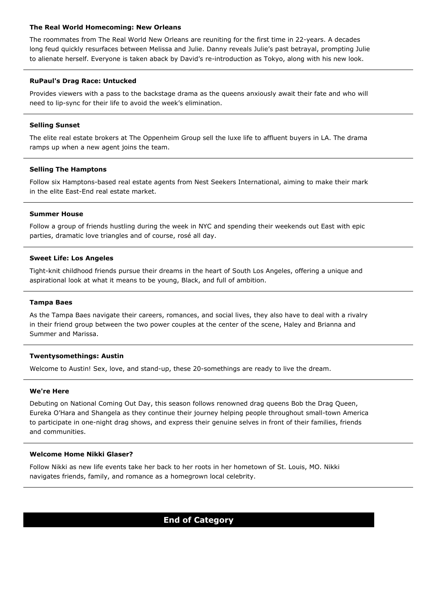### **The Real World Homecoming: New Orleans**

The roommates from The Real World New Orleans are reuniting for the first time in 22-years. A decades long feud quickly resurfaces between Melissa and Julie. Danny reveals Julie's past betrayal, prompting Julie to alienate herself. Everyone is taken aback by David's re-introduction as Tokyo, along with his new look.

# **RuPaul's Drag Race: Untucked**

Provides viewers with a pass to the backstage drama as the queens anxiously await their fate and who will need to lip-sync for their life to avoid the week's elimination.

# **Selling Sunset**

The elite real estate brokers at The Oppenheim Group sell the luxe life to affluent buyers in LA. The drama ramps up when a new agent joins the team.

# **Selling The Hamptons**

Follow six Hamptons-based real estate agents from Nest Seekers International, aiming to make their mark in the elite East-End real estate market.

### **Summer House**

Follow a group of friends hustling during the week in NYC and spending their weekends out East with epic parties, dramatic love triangles and of course, rosé all day.

# **Sweet Life: Los Angeles**

Tight-knit childhood friends pursue their dreams in the heart of South Los Angeles, offering a unique and aspirational look at what it means to be young, Black, and full of ambition.

### **Tampa Baes**

As the Tampa Baes navigate their careers, romances, and social lives, they also have to deal with a rivalry in their friend group between the two power couples at the center of the scene, Haley and Brianna and Summer and Marissa.

### **Twentysomethings: Austin**

Welcome to Austin! Sex, love, and stand-up, these 20-somethings are ready to live the dream.

### **We're Here**

Debuting on National Coming Out Day, this season follows renowned drag queens Bob the Drag Queen, Eureka O'Hara and Shangela as they continue their journey helping people throughout small-town America to participate in one-night drag shows, and express their genuine selves in front of their families, friends and communities.

### **Welcome Home Nikki Glaser?**

Follow Nikki as new life events take her back to her roots in her hometown of St. Louis, MO. Nikki navigates friends, family, and romance as a homegrown local celebrity.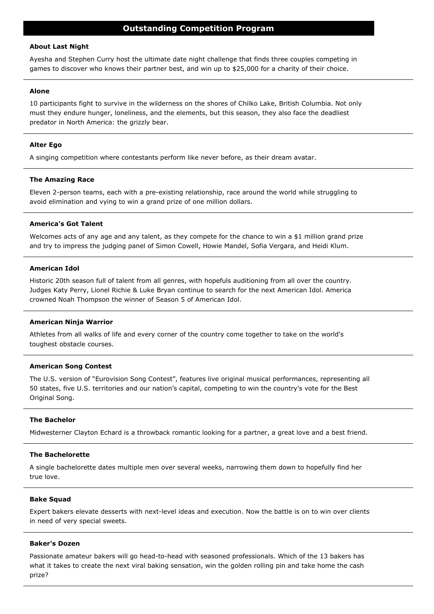### **About Last Night**

Ayesha and Stephen Curry host the ultimate date night challenge that finds three couples competing in games to discover who knows their partner best, and win up to \$25,000 for a charity of their choice.

#### **Alone**

10 participants fight to survive in the wilderness on the shores of Chilko Lake, British Columbia. Not only must they endure hunger, loneliness, and the elements, but this season, they also face the deadliest predator in North America: the grizzly bear.

### **Alter Ego**

A singing competition where contestants perform like never before, as their dream avatar.

### **The Amazing Race**

Eleven 2-person teams, each with a pre-existing relationship, race around the world while struggling to avoid elimination and vying to win a grand prize of one million dollars.

# **America's Got Talent**

Welcomes acts of any age and any talent, as they compete for the chance to win a \$1 million grand prize and try to impress the judging panel of Simon Cowell, Howie Mandel, Sofia Vergara, and Heidi Klum.

# **American Idol**

Historic 20th season full of talent from all genres, with hopefuls auditioning from all over the country. Judges Katy Perry, Lionel Richie & Luke Bryan continue to search for the next American Idol. America crowned Noah Thompson the winner of Season 5 of American Idol.

#### **American Ninja Warrior**

Athletes from all walks of life and every corner of the country come together to take on the world's toughest obstacle courses.

#### **American Song Contest**

The U.S. version of "Eurovision Song Contest", features live original musical performances, representing all 50 states, five U.S. territories and our nation's capital, competing to win the country's vote for the Best Original Song.

### **The Bachelor**

Midwesterner Clayton Echard is a throwback romantic looking for a partner, a great love and a best friend.

### **The Bachelorette**

A single bachelorette dates multiple men over several weeks, narrowing them down to hopefully find her true love.

#### **Bake Squad**

Expert bakers elevate desserts with next-level ideas and execution. Now the battle is on to win over clients in need of very special sweets.

#### **Baker's Dozen**

Passionate amateur bakers will go head-to-head with seasoned professionals. Which of the 13 bakers has what it takes to create the next viral baking sensation, win the golden rolling pin and take home the cash prize?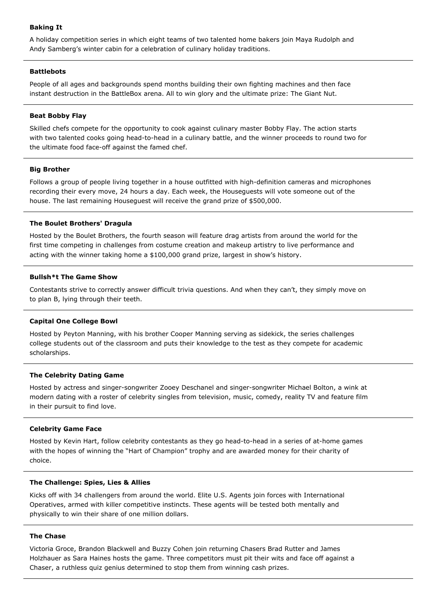# **Baking It**

A holiday competition series in which eight teams of two talented home bakers join Maya Rudolph and Andy Samberg's winter cabin for a celebration of culinary holiday traditions.

### **Battlebots**

People of all ages and backgrounds spend months building their own fighting machines and then face instant destruction in the BattleBox arena. All to win glory and the ultimate prize: The Giant Nut.

# **Beat Bobby Flay**

Skilled chefs compete for the opportunity to cook against culinary master Bobby Flay. The action starts with two talented cooks going head-to-head in a culinary battle, and the winner proceeds to round two for the ultimate food face-off against the famed chef.

# **Big Brother**

Follows a group of people living together in a house outfitted with high-definition cameras and microphones recording their every move, 24 hours a day. Each week, the Houseguests will vote someone out of the house. The last remaining Houseguest will receive the grand prize of \$500,000.

# **The Boulet Brothers' Dragula**

Hosted by the Boulet Brothers, the fourth season will feature drag artists from around the world for the first time competing in challenges from costume creation and makeup artistry to live performance and acting with the winner taking home a \$100,000 grand prize, largest in show's history.

# **Bullsh\*t The Game Show**

Contestants strive to correctly answer difficult trivia questions. And when they can't, they simply move on to plan B, lying through their teeth.

# **Capital One College Bowl**

Hosted by Peyton Manning, with his brother Cooper Manning serving as sidekick, the series challenges college students out of the classroom and puts their knowledge to the test as they compete for academic scholarships.

# **The Celebrity Dating Game**

Hosted by actress and singer-songwriter Zooey Deschanel and singer-songwriter Michael Bolton, a wink at modern dating with a roster of celebrity singles from television, music, comedy, reality TV and feature film in their pursuit to find love.

### **Celebrity Game Face**

Hosted by Kevin Hart, follow celebrity contestants as they go head-to-head in a series of at-home games with the hopes of winning the "Hart of Champion" trophy and are awarded money for their charity of choice.

### **The Challenge: Spies, Lies & Allies**

Kicks off with 34 challengers from around the world. Elite U.S. Agents join forces with International Operatives, armed with killer competitive instincts. These agents will be tested both mentally and physically to win their share of one million dollars.

# **The Chase**

Victoria Groce, Brandon Blackwell and Buzzy Cohen join returning Chasers Brad Rutter and James Holzhauer as Sara Haines hosts the game. Three competitors must pit their wits and face off against a Chaser, a ruthless quiz genius determined to stop them from winning cash prizes.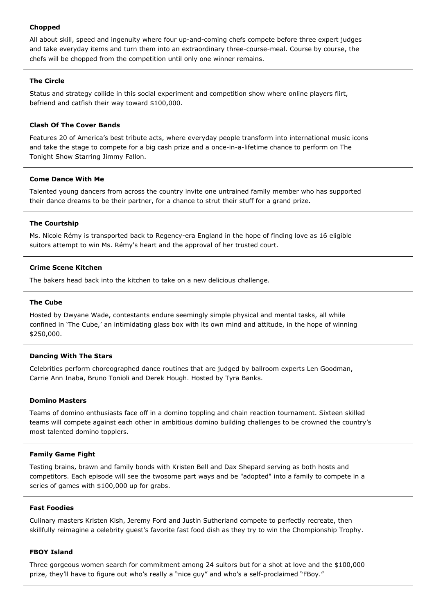# **Chopped**

All about skill, speed and ingenuity where four up-and-coming chefs compete before three expert judges and take everyday items and turn them into an extraordinary three-course-meal. Course by course, the chefs will be chopped from the competition until only one winner remains.

# **The Circle**

Status and strategy collide in this social experiment and competition show where online players flirt, befriend and catfish their way toward \$100,000.

### **Clash Of The Cover Bands**

Features 20 of America's best tribute acts, where everyday people transform into international music icons and take the stage to compete for a big cash prize and a once-in-a-lifetime chance to perform on The Tonight Show Starring Jimmy Fallon.

### **Come Dance With Me**

Talented young dancers from across the country invite one untrained family member who has supported their dance dreams to be their partner, for a chance to strut their stuff for a grand prize.

### **The Courtship**

Ms. Nicole Rémy is transported back to Regency-era England in the hope of finding love as 16 eligible suitors attempt to win Ms. Rémy's heart and the approval of her trusted court.

### **Crime Scene Kitchen**

The bakers head back into the kitchen to take on a new delicious challenge.

### **The Cube**

Hosted by Dwyane Wade, contestants endure seemingly simple physical and mental tasks, all while confined in 'The Cube,' an intimidating glass box with its own mind and attitude, in the hope of winning \$250,000.

### **Dancing With The Stars**

Celebrities perform choreographed dance routines that are judged by ballroom experts Len Goodman, Carrie Ann Inaba, Bruno Tonioli and Derek Hough. Hosted by Tyra Banks.

#### **Domino Masters**

Teams of domino enthusiasts face off in a domino toppling and chain reaction tournament. Sixteen skilled teams will compete against each other in ambitious domino building challenges to be crowned the country's most talented domino topplers.

### **Family Game Fight**

Testing brains, brawn and family bonds with Kristen Bell and Dax Shepard serving as both hosts and competitors. Each episode will see the twosome part ways and be "adopted" into a family to compete in a series of games with \$100,000 up for grabs.

### **Fast Foodies**

Culinary masters Kristen Kish, Jeremy Ford and Justin Sutherland compete to perfectly recreate, then skillfully reimagine a celebrity guest's favorite fast food dish as they try to win the Chompionship Trophy.

#### **FBOY Island**

Three gorgeous women search for commitment among 24 suitors but for a shot at love and the \$100,000 prize, they'll have to figure out who's really a "nice guy" and who's a self-proclaimed "FBoy."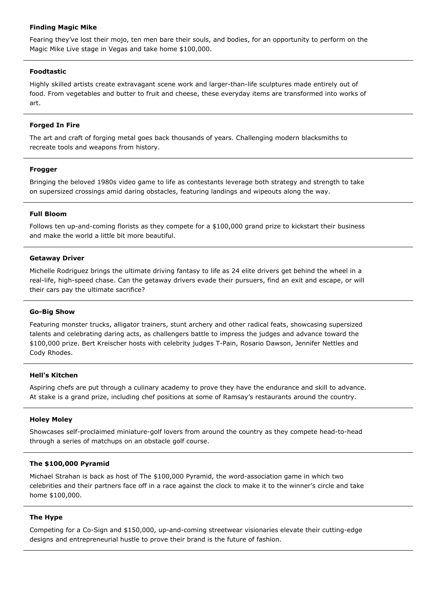### **Finding Magic Mike**

Fearing they've lost their mojo, ten men bare their souls, and bodies, for an opportunity to perform on the Magic Mike Live stage in Vegas and take home \$100,000.

# **Foodtastic**

Highly skilled artists create extravagant scene work and larger-than-life sculptures made entirely out of food. From vegetables and butter to fruit and cheese, these everyday items are transformed into works of art.

# **Forged In Fire**

The art and craft of forging metal goes back thousands of years. Challenging modern blacksmiths to recreate tools and weapons from history.

# **Frogger**

Bringing the beloved 1980s video game to life as contestants leverage both strategy and strength to take on supersized crossings amid daring obstacles, featuring landings and wipeouts along the way.

### **Full Bloom**

Follows ten up-and-coming florists as they compete for a \$100,000 grand prize to kickstart their business and make the world a little bit more beautiful.

### **Getaway Driver**

Michelle Rodriguez brings the ultimate driving fantasy to life as 24 elite drivers get behind the wheel in a real-life, high-speed chase. Can the getaway drivers evade their pursuers, find an exit and escape, or will their cars pay the ultimate sacrifice?

# **Go-Big Show**

Featuring monster trucks, alligator trainers, stunt archery and other radical feats, showcasing supersized talents and celebrating daring acts, as challengers battle to impress the judges and advance toward the \$100,000 prize. Bert Kreischer hosts with celebrity judges T-Pain, Rosario Dawson, Jennifer Nettles and Cody Rhodes.

### **Hell's Kitchen**

Aspiring chefs are put through a culinary academy to prove they have the endurance and skill to advance. At stake is a grand prize, including chef positions at some of Ramsay's restaurants around the country.

### **Holey Moley**

Showcases self-proclaimed miniature-golf lovers from around the country as they compete head-to-head through a series of matchups on an obstacle golf course.

### **The \$100,000 Pyramid**

Michael Strahan is back as host of The \$100,000 Pyramid, the word-association game in which two celebrities and their partners face off in a race against the clock to make it to the winner's circle and take home \$100,000.

# **The Hype**

Competing for a Co-Sign and \$150,000, up-and-coming streetwear visionaries elevate their cutting-edge designs and entrepreneurial hustle to prove their brand is the future of fashion.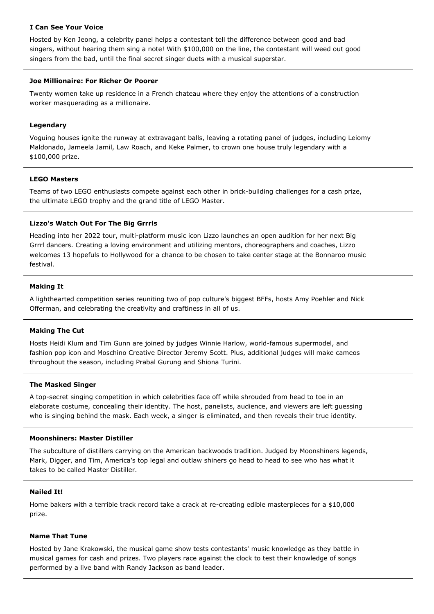# **I Can See Your Voice**

Hosted by Ken Jeong, a celebrity panel helps a contestant tell the difference between good and bad singers, without hearing them sing a note! With \$100,000 on the line, the contestant will weed out good singers from the bad, until the final secret singer duets with a musical superstar.

# **Joe Millionaire: For Richer Or Poorer**

Twenty women take up residence in a French chateau where they enjoy the attentions of a construction worker masquerading as a millionaire.

# **Legendary**

Voguing houses ignite the runway at extravagant balls, leaving a rotating panel of judges, including Leiomy Maldonado, Jameela Jamil, Law Roach, and Keke Palmer, to crown one house truly legendary with a \$100,000 prize.

# **LEGO Masters**

Teams of two LEGO enthusiasts compete against each other in brick-building challenges for a cash prize, the ultimate LEGO trophy and the grand title of LEGO Master.

# **Lizzo's Watch Out For The Big Grrrls**

Heading into her 2022 tour, multi-platform music icon Lizzo launches an open audition for her next Big Grrrl dancers. Creating a loving environment and utilizing mentors, choreographers and coaches, Lizzo welcomes 13 hopefuls to Hollywood for a chance to be chosen to take center stage at the Bonnaroo music festival.

# **Making It**

A lighthearted competition series reuniting two of pop culture's biggest BFFs, hosts Amy Poehler and Nick Offerman, and celebrating the creativity and craftiness in all of us.

# **Making The Cut**

Hosts Heidi Klum and Tim Gunn are joined by judges Winnie Harlow, world-famous supermodel, and fashion pop icon and Moschino Creative Director Jeremy Scott. Plus, additional judges will make cameos throughout the season, including Prabal Gurung and Shiona Turini.

### **The Masked Singer**

A top-secret singing competition in which celebrities face off while shrouded from head to toe in an elaborate costume, concealing their identity. The host, panelists, audience, and viewers are left guessing who is singing behind the mask. Each week, a singer is eliminated, and then reveals their true identity.

### **Moonshiners: Master Distiller**

The subculture of distillers carrying on the American backwoods tradition. Judged by Moonshiners legends, Mark, Digger, and Tim, America's top legal and outlaw shiners go head to head to see who has what it takes to be called Master Distiller.

# **Nailed It!**

Home bakers with a terrible track record take a crack at re-creating edible masterpieces for a \$10,000 prize.

### **Name That Tune**

Hosted by Jane Krakowski, the musical game show tests contestants' music knowledge as they battle in musical games for cash and prizes. Two players race against the clock to test their knowledge of songs performed by a live band with Randy Jackson as band leader.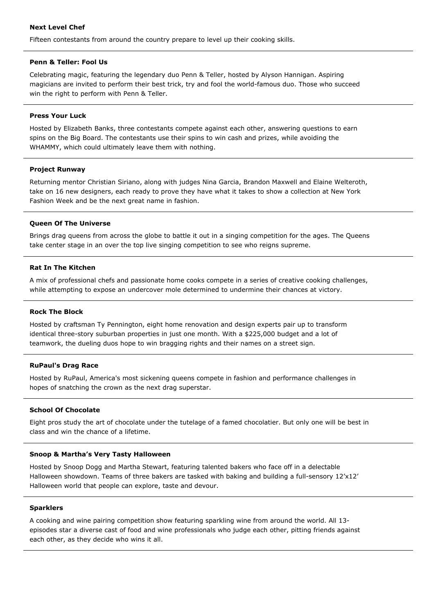# **Next Level Chef**

Fifteen contestants from around the country prepare to level up their cooking skills.

### **Penn & Teller: Fool Us**

Celebrating magic, featuring the legendary duo Penn & Teller, hosted by Alyson Hannigan. Aspiring magicians are invited to perform their best trick, try and fool the world-famous duo. Those who succeed win the right to perform with Penn & Teller.

### **Press Your Luck**

Hosted by Elizabeth Banks, three contestants compete against each other, answering questions to earn spins on the Big Board. The contestants use their spins to win cash and prizes, while avoiding the WHAMMY, which could ultimately leave them with nothing.

# **Project Runway**

Returning mentor Christian Siriano, along with judges Nina Garcia, Brandon Maxwell and Elaine Welteroth, take on 16 new designers, each ready to prove they have what it takes to show a collection at New York Fashion Week and be the next great name in fashion.

# **Queen Of The Universe**

Brings drag queens from across the globe to battle it out in a singing competition for the ages. The Queens take center stage in an over the top live singing competition to see who reigns supreme.

# **Rat In The Kitchen**

A mix of professional chefs and passionate home cooks compete in a series of creative cooking challenges, while attempting to expose an undercover mole determined to undermine their chances at victory.

### **Rock The Block**

Hosted by craftsman Ty Pennington, eight home renovation and design experts pair up to transform identical three-story suburban properties in just one month. With a \$225,000 budget and a lot of teamwork, the dueling duos hope to win bragging rights and their names on a street sign.

### **RuPaul's Drag Race**

Hosted by RuPaul, America's most sickening queens compete in fashion and performance challenges in hopes of snatching the crown as the next drag superstar.

# **School Of Chocolate**

Eight pros study the art of chocolate under the tutelage of a famed chocolatier. But only one will be best in class and win the chance of a lifetime.

### **Snoop & Martha's Very Tasty Halloween**

Hosted by Snoop Dogg and Martha Stewart, featuring talented bakers who face off in a delectable Halloween showdown. Teams of three bakers are tasked with baking and building a full-sensory 12'x12' Halloween world that people can explore, taste and devour.

# **Sparklers**

A cooking and wine pairing competition show featuring sparkling wine from around the world. All 13 episodes star a diverse cast of food and wine professionals who judge each other, pitting friends against each other, as they decide who wins it all.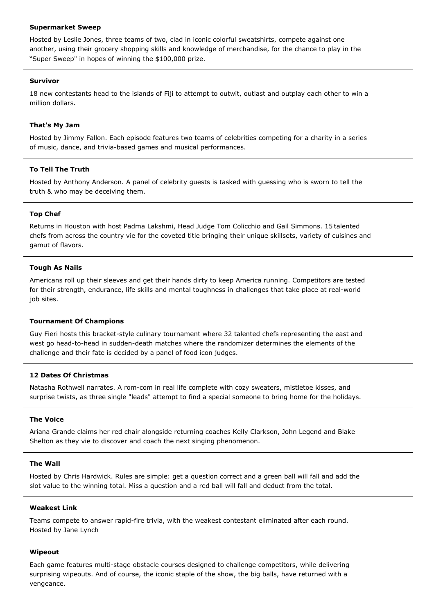### **Supermarket Sweep**

Hosted by Leslie Jones, three teams of two, clad in iconic colorful sweatshirts, compete against one another, using their grocery shopping skills and knowledge of merchandise, for the chance to play in the "Super Sweep" in hopes of winning the \$100,000 prize.

# **Survivor**

18 new contestants head to the islands of Fiji to attempt to outwit, outlast and outplay each other to win a million dollars.

# **That's My Jam**

Hosted by Jimmy Fallon. Each episode features two teams of celebrities competing for a charity in a series of music, dance, and trivia-based games and musical performances.

# **To Tell The Truth**

Hosted by Anthony Anderson. A panel of celebrity guests is tasked with guessing who is sworn to tell the truth & who may be deceiving them.

### **Top Chef**

Returns in Houston with host Padma Lakshmi, Head Judge Tom Colicchio and Gail Simmons. 15 talented chefs from across the country vie for the coveted title bringing their unique skillsets, variety of cuisines and gamut of flavors.

# **Tough As Nails**

Americans roll up their sleeves and get their hands dirty to keep America running. Competitors are tested for their strength, endurance, life skills and mental toughness in challenges that take place at real-world job sites.

### **Tournament Of Champions**

Guy Fieri hosts this bracket-style culinary tournament where 32 talented chefs representing the east and west go head-to-head in sudden-death matches where the randomizer determines the elements of the challenge and their fate is decided by a panel of food icon judges.

### **12 Dates Of Christmas**

Natasha Rothwell narrates. A rom-com in real life complete with cozy sweaters, mistletoe kisses, and surprise twists, as three single "leads" attempt to find a special someone to bring home for the holidays.

### **The Voice**

Ariana Grande claims her red chair alongside returning coaches Kelly Clarkson, John Legend and Blake Shelton as they vie to discover and coach the next singing phenomenon.

# **The Wall**

Hosted by Chris Hardwick. Rules are simple: get a question correct and a green ball will fall and add the slot value to the winning total. Miss a question and a red ball will fall and deduct from the total.

### **Weakest Link**

Teams compete to answer rapid-fire trivia, with the weakest contestant eliminated after each round. Hosted by Jane Lynch

### **Wipeout**

Each game features multi-stage obstacle courses designed to challenge competitors, while delivering surprising wipeouts. And of course, the iconic staple of the show, the big balls, have returned with a vengeance.